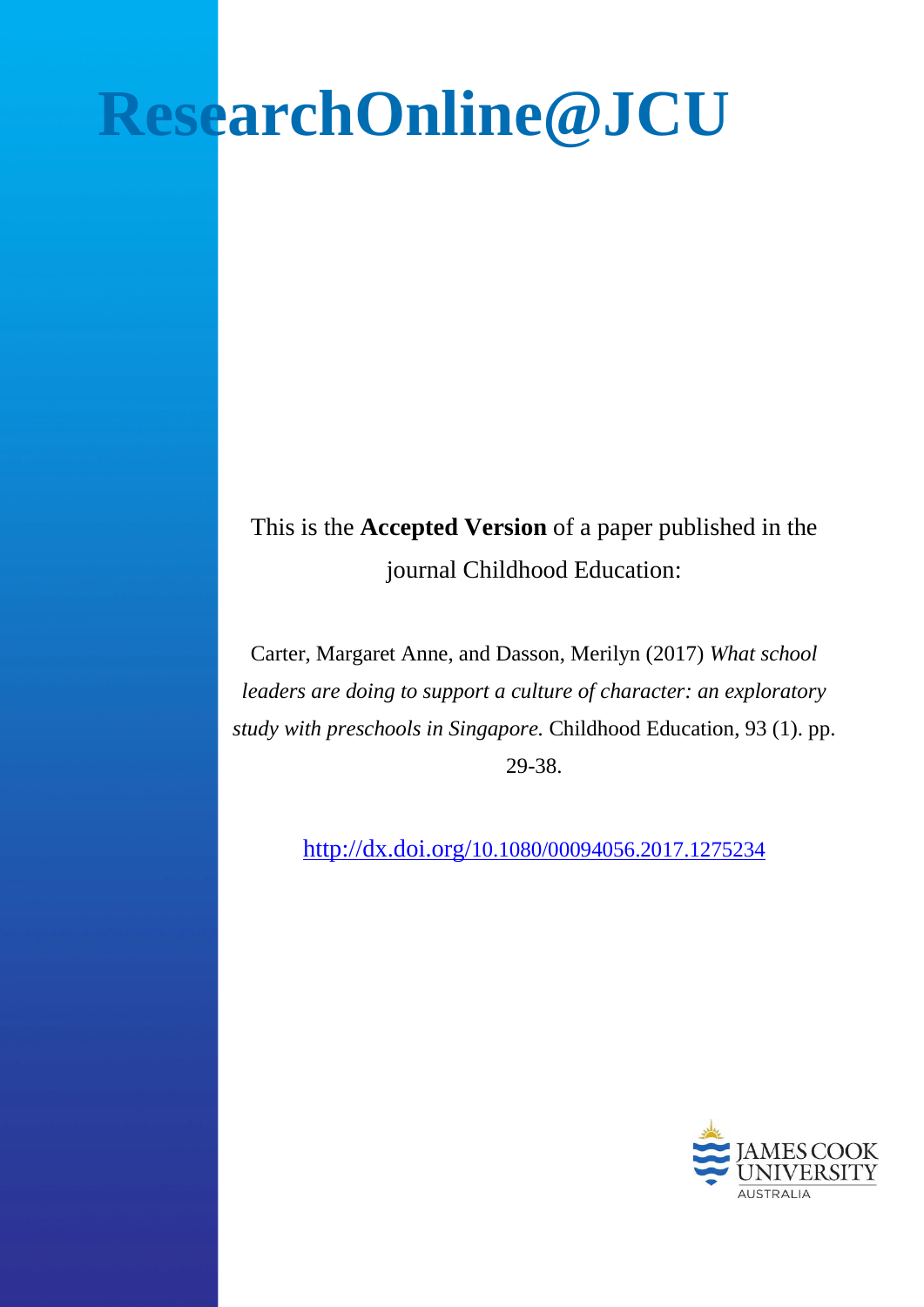# **ResearchOnline@JCU**

This is the **Accepted Version** of a paper published in the journal Childhood Education:

Carter, Margaret Anne, and Dasson, Merilyn (2017) *What school leaders are doing to support a culture of character: an exploratory study with preschools in Singapore.* Childhood Education, 93 (1). pp. 29-38.

<http://dx.doi.org/10.1080/00094056.2017.1275234>

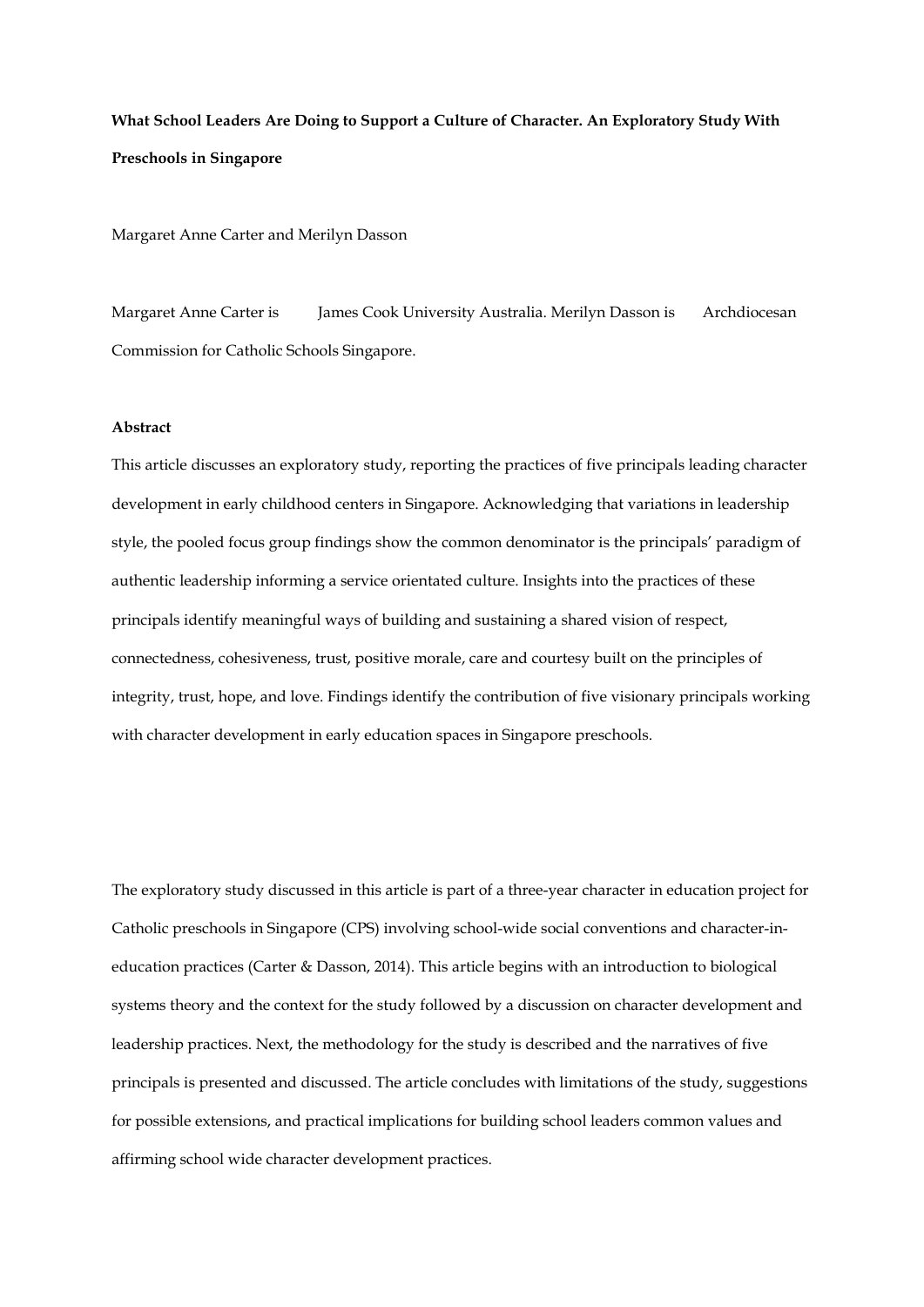**What School Leaders Are Doing to Support a Culture of Character. An Exploratory Study With Preschools in Singapore**

Margaret Anne Carter and Merilyn Dasson

Margaret Anne Carter is James Cook University Australia. Merilyn Dasson is Archdiocesan Commission for Catholic Schools Singapore.

# **Abstract**

This article discusses an exploratory study, reporting the practices of five principals leading character development in early childhood centers in Singapore. Acknowledging that variations in leadership style, the pooled focus group findings show the common denominator is the principals' paradigm of authentic leadership informing a service orientated culture. Insights into the practices of these principals identify meaningful ways of building and sustaining a shared vision of respect, connectedness, cohesiveness, trust, positive morale, care and courtesy built on the principles of integrity, trust, hope, and love. Findings identify the contribution of five visionary principals working with character development in early education spaces in Singapore preschools.

The exploratory study discussed in this article is part of a three-year character in education project for Catholic preschools in Singapore (CPS) involving school-wide social conventions and character-ineducation practices (Carter & Dasson, 2014). This article begins with an introduction to biological systems theory and the context for the study followed by a discussion on character development and leadership practices. Next, the methodology for the study is described and the narratives of five principals is presented and discussed. The article concludes with limitations of the study, suggestions for possible extensions, and practical implications for building school leaders common values and affirming school wide character development practices.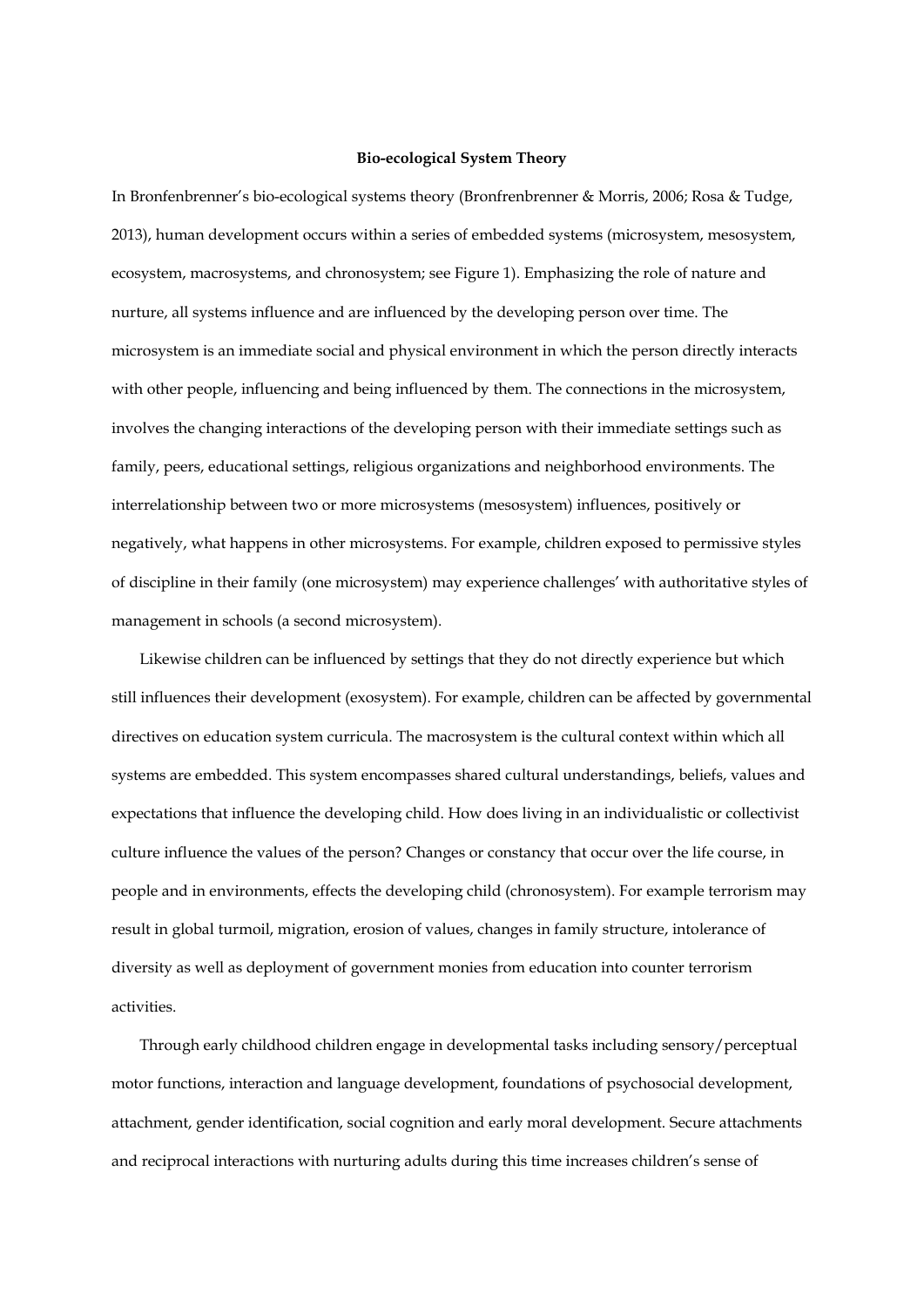## **Bio-ecological System Theory**

In Bronfenbrenner's bio-ecological systems theory (Bronfrenbrenner & Morris, 2006; Rosa & Tudge, 2013), human development occurs within a series of embedded systems (microsystem, mesosystem, ecosystem, macrosystems, and chronosystem; see Figure 1). Emphasizing the role of nature and nurture, all systems influence and are influenced by the developing person over time. The microsystem is an immediate social and physical environment in which the person directly interacts with other people, influencing and being influenced by them. The connections in the microsystem, involves the changing interactions of the developing person with their immediate settings such as family, peers, educational settings, religious organizations and neighborhood environments. The interrelationship between two or more microsystems (mesosystem) influences, positively or negatively, what happens in other microsystems. For example, children exposed to permissive styles of discipline in their family (one microsystem) may experience challenges' with authoritative styles of management in schools (a second microsystem).

Likewise children can be influenced by settings that they do not directly experience but which still influences their development (exosystem). For example, children can be affected by governmental directives on education system curricula. The macrosystem is the cultural context within which all systems are embedded. This system encompasses shared cultural understandings, beliefs, values and expectations that influence the developing child. How does living in an individualistic or collectivist culture influence the values of the person? Changes or constancy that occur over the life course, in people and in environments, effects the developing child (chronosystem). For example terrorism may result in global turmoil, migration, erosion of values, changes in family structure, intolerance of diversity as well as deployment of government monies from education into counter terrorism activities.

Through early childhood children engage in developmental tasks including sensory/perceptual motor functions, interaction and language development, foundations of psychosocial development, attachment, gender identification, social cognition and early moral development. Secure attachments and reciprocal interactions with nurturing adults during this time increases children's sense of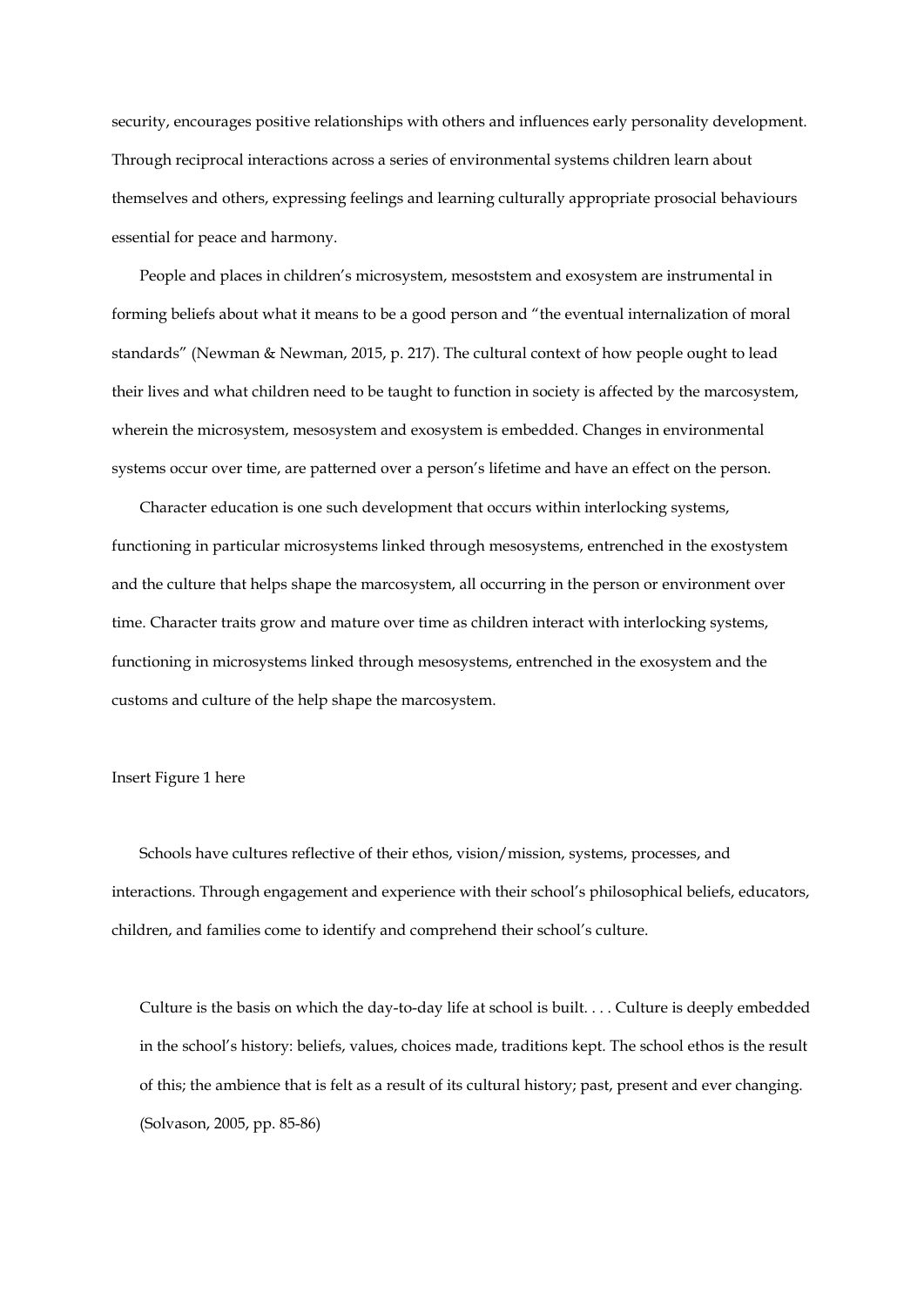security, encourages positive relationships with others and influences early personality development. Through reciprocal interactions across a series of environmental systems children learn about themselves and others, expressing feelings and learning culturally appropriate prosocial behaviours essential for peace and harmony.

People and places in children's microsystem, mesoststem and exosystem are instrumental in forming beliefs about what it means to be a good person and "the eventual internalization of moral standards" (Newman & Newman, 2015, p. 217). The cultural context of how people ought to lead their lives and what children need to be taught to function in society is affected by the marcosystem, wherein the microsystem, mesosystem and exosystem is embedded. Changes in environmental systems occur over time, are patterned over a person's lifetime and have an effect on the person.

Character education is one such development that occurs within interlocking systems, functioning in particular microsystems linked through mesosystems, entrenched in the exostystem and the culture that helps shape the marcosystem, all occurring in the person or environment over time. Character traits grow and mature over time as children interact with interlocking systems, functioning in microsystems linked through mesosystems, entrenched in the exosystem and the customs and culture of the help shape the marcosystem.

# Insert Figure 1 here

Schools have cultures reflective of their ethos, vision/mission, systems, processes, and interactions. Through engagement and experience with their school's philosophical beliefs, educators, children, and families come to identify and comprehend their school's culture.

Culture is the basis on which the day-to-day life at school is built. . . . Culture is deeply embedded in the school's history: beliefs, values, choices made, traditions kept. The school ethos is the result of this; the ambience that is felt as a result of its cultural history; past, present and ever changing. (Solvason, 2005, pp. 85-86)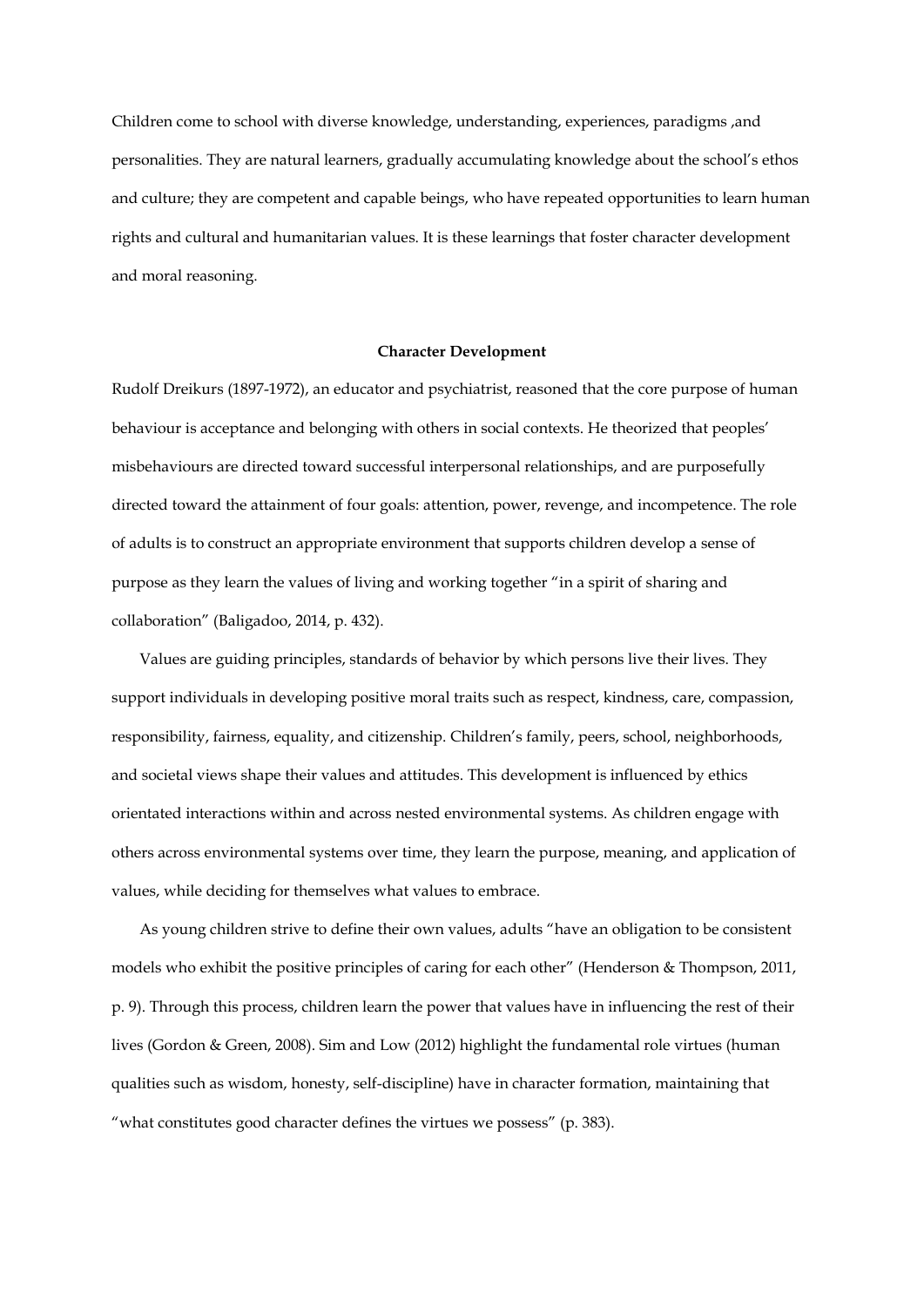Children come to school with diverse knowledge, understanding, experiences, paradigms ,and personalities. They are natural learners, gradually accumulating knowledge about the school's ethos and culture; they are competent and capable beings, who have repeated opportunities to learn human rights and cultural and humanitarian values. It is these learnings that foster character development and moral reasoning.

#### **Character Development**

Rudolf Dreikurs (1897-1972), an educator and psychiatrist, reasoned that the core purpose of human behaviour is acceptance and belonging with others in social contexts. He theorized that peoples' misbehaviours are directed toward successful interpersonal relationships, and are purposefully directed toward the attainment of four goals: attention, power, revenge, and incompetence. The role of adults is to construct an appropriate environment that supports children develop a sense of purpose as they learn the values of living and working together "in a spirit of sharing and collaboration" (Baligadoo, 2014, p. 432).

Values are guiding principles, standards of behavior by which persons live their lives. They support individuals in developing positive moral traits such as respect, kindness, care, compassion, responsibility, fairness, equality, and citizenship. Children's family, peers, school, neighborhoods, and societal views shape their values and attitudes. This development is influenced by ethics orientated interactions within and across nested environmental systems. As children engage with others across environmental systems over time, they learn the purpose, meaning, and application of values, while deciding for themselves what values to embrace.

As young children strive to define their own values, adults "have an obligation to be consistent models who exhibit the positive principles of caring for each other" (Henderson & Thompson, 2011, p. 9). Through this process, children learn the power that values have in influencing the rest of their lives (Gordon & Green, 2008). Sim and Low (2012) highlight the fundamental role virtues (human qualities such as wisdom, honesty, self-discipline) have in character formation, maintaining that "what constitutes good character defines the virtues we possess" (p. 383).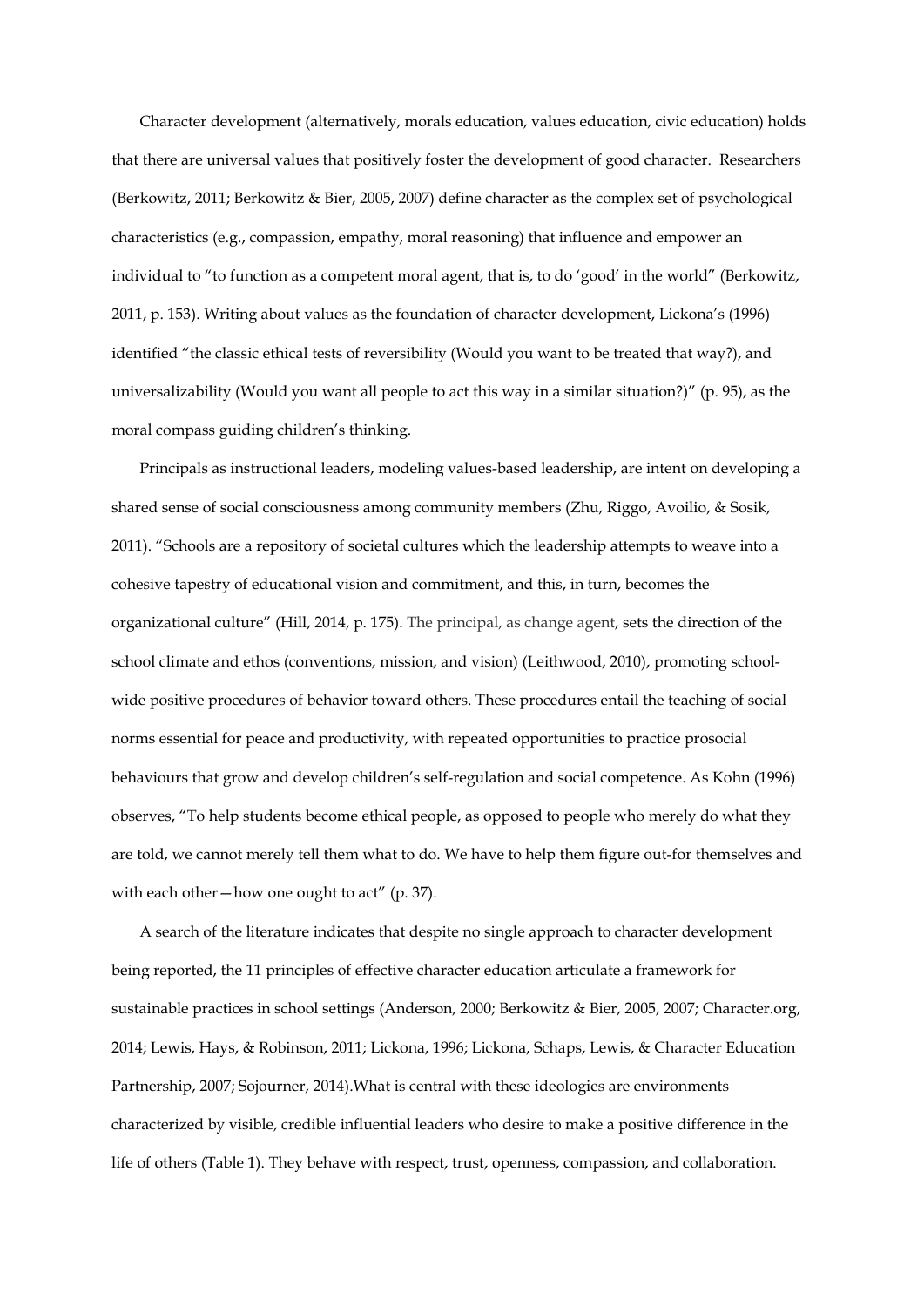Character development (alternatively, morals education, values education, civic education) holds that there are universal values that positively foster the development of good character. Researchers (Berkowitz, 2011; Berkowitz & Bier, 2005, 2007) define character as the complex set of psychological characteristics (e.g., compassion, empathy, moral reasoning) that influence and empower an individual to "to function as a competent moral agent, that is, to do 'good' in the world" (Berkowitz, 2011, p. 153). Writing about values as the foundation of character development, Lickona's (1996) identified "the classic ethical tests of reversibility (Would you want to be treated that way?), and universalizability (Would you want all people to act this way in a similar situation?)" (p. 95), as the moral compass guiding children's thinking.

Principals as instructional leaders, modeling values-based leadership, are intent on developing a shared sense of social consciousness among community members (Zhu, Riggo, Avoilio, & Sosik, 2011). "Schools are a repository of societal cultures which the leadership attempts to weave into a cohesive tapestry of educational vision and commitment, and this, in turn, becomes the organizational culture" (Hill, 2014, p. 175). The principal, as change agent, sets the direction of the school climate and ethos (conventions, mission, and vision) (Leithwood, 2010), promoting schoolwide positive procedures of behavior toward others. These procedures entail the teaching of social norms essential for peace and productivity, with repeated opportunities to practice prosocial behaviours that grow and develop children's self-regulation and social competence. As Kohn (1996) observes, "To help students become ethical people, as opposed to people who merely do what they are told, we cannot merely tell them what to do. We have to help them figure out-for themselves and with each other—how one ought to act" (p. 37).

A search of the literature indicates that despite no single approach to character development being reported, the 11 principles of effective character education articulate a framework for sustainable practices in school settings (Anderson, 2000; Berkowitz & Bier, 2005, 2007; Character.org, 2014; Lewis, Hays, & Robinson, 2011; Lickona, 1996; Lickona, Schaps, Lewis, & Character Education Partnership, 2007; Sojourner, 2014).What is central with these ideologies are environments characterized by visible, credible influential leaders who desire to make a positive difference in the life of others (Table 1). They behave with respect, trust, openness, compassion, and collaboration.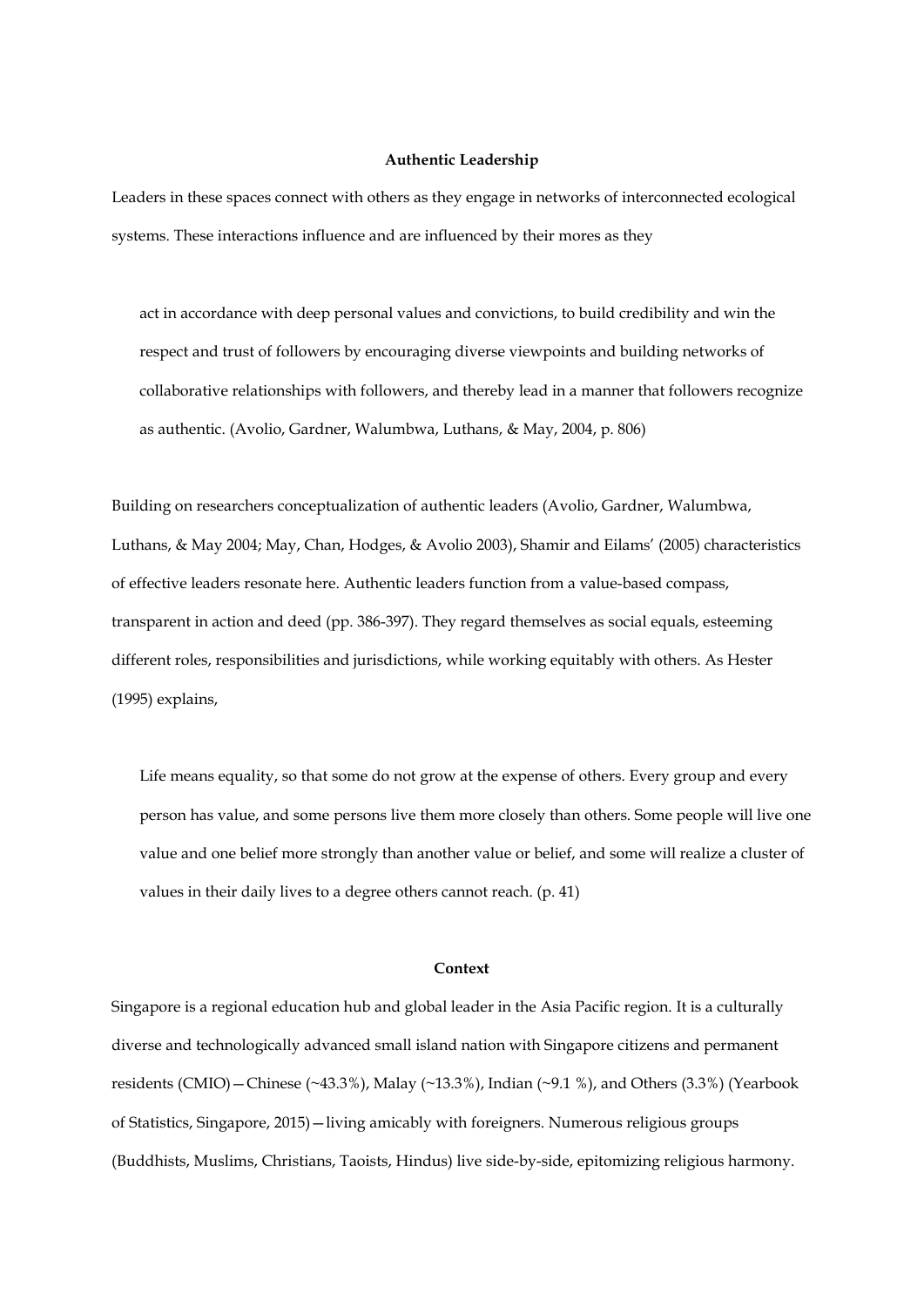#### **Authentic Leadership**

Leaders in these spaces connect with others as they engage in networks of interconnected ecological systems. These interactions influence and are influenced by their mores as they

act in accordance with deep personal values and convictions, to build credibility and win the respect and trust of followers by encouraging diverse viewpoints and building networks of collaborative relationships with followers, and thereby lead in a manner that followers recognize as authentic. (Avolio, Gardner, Walumbwa, Luthans, & May, 2004, p. 806)

Building on researchers conceptualization of authentic leaders (Avolio, Gardner, Walumbwa, Luthans, & May 2004; May, Chan, Hodges, & Avolio 2003), Shamir and Eilams' (2005) characteristics of effective leaders resonate here. Authentic leaders function from a value-based compass, transparent in action and deed (pp. 386-397). They regard themselves as social equals, esteeming different roles, responsibilities and jurisdictions, while working equitably with others. As Hester (1995) explains,

Life means equality, so that some do not grow at the expense of others. Every group and every person has value, and some persons live them more closely than others. Some people will live one value and one belief more strongly than another value or belief, and some will realize a cluster of values in their daily lives to a degree others cannot reach. (p. 41)

# **Context**

Singapore is a regional education hub and global leader in the Asia Pacific region. It is a culturally diverse and technologically advanced small island nation with Singapore citizens and permanent residents (CMIO)—Chinese (~43.3%), Malay (~13.3%), Indian (~9.1 %), and Others (3.3%) (Yearbook of Statistics, Singapore, 2015)—living amicably with foreigners. Numerous religious groups (Buddhists, Muslims, Christians, Taoists, Hindus) live side-by-side, epitomizing religious harmony.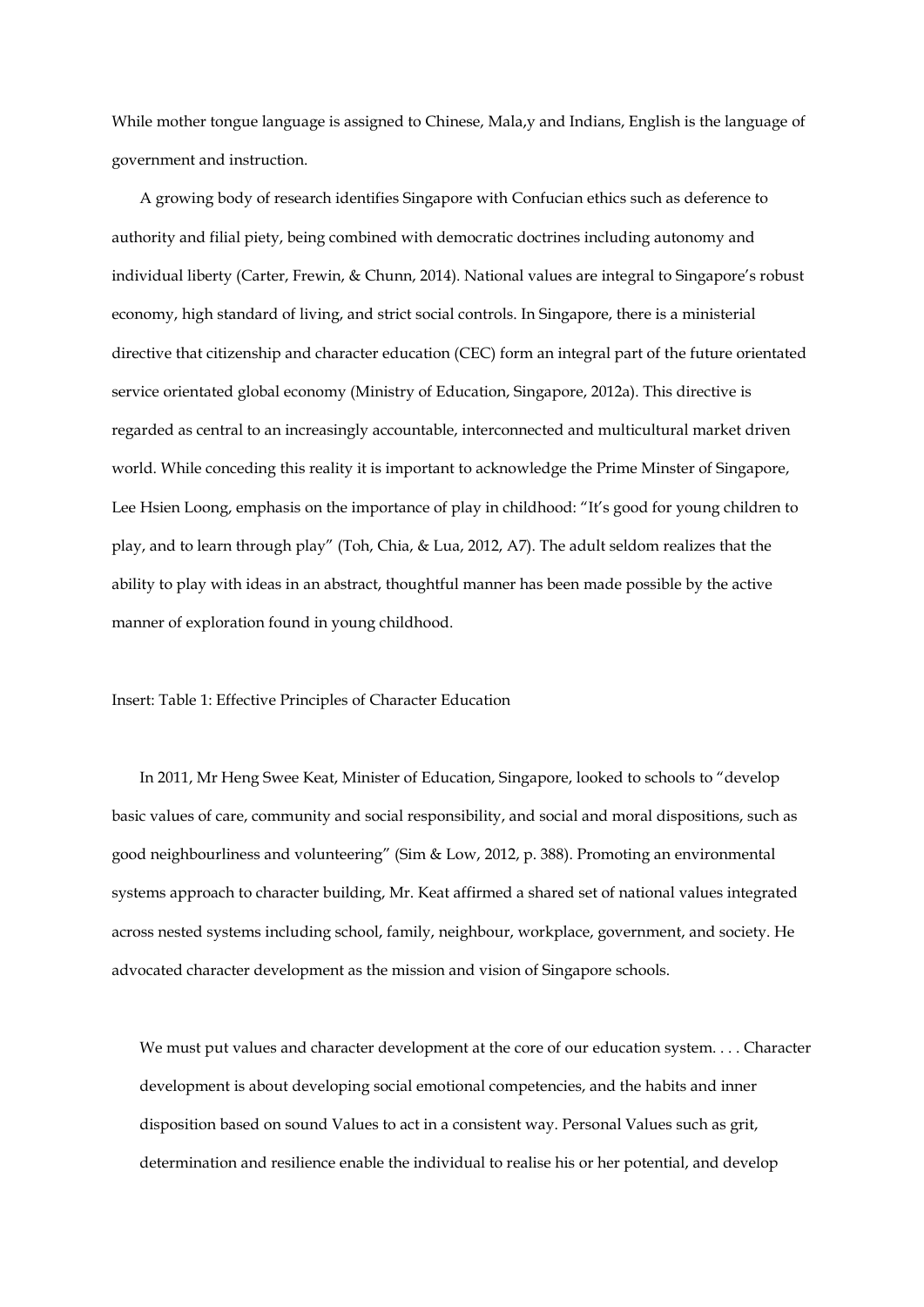While mother tongue language is assigned to Chinese, Mala,y and Indians, English is the language of government and instruction.

A growing body of research identifies Singapore with Confucian ethics such as deference to authority and filial piety, being combined with democratic doctrines including autonomy and individual liberty (Carter, Frewin, & Chunn, 2014). National values are integral to Singapore's robust economy, high standard of living, and strict social controls. In Singapore, there is a ministerial directive that citizenship and character education (CEC) form an integral part of the future orientated service orientated global economy (Ministry of Education, Singapore, 2012a). This directive is regarded as central to an increasingly accountable, interconnected and multicultural market driven world. While conceding this reality it is important to acknowledge the Prime Minster of Singapore, Lee Hsien Loong, emphasis on the importance of play in childhood: "It's good for young children to play, and to learn through play" (Toh, Chia, & Lua, 2012, A7). The adult seldom realizes that the ability to play with ideas in an abstract, thoughtful manner has been made possible by the active manner of exploration found in young childhood.

Insert: Table 1: Effective Principles of Character Education

In 2011, Mr Heng Swee Keat, Minister of Education, Singapore, looked to schools to "develop basic values of care, community and social responsibility, and social and moral dispositions, such as good neighbourliness and volunteering" (Sim & Low, 2012, p. 388). Promoting an environmental systems approach to character building, Mr. Keat affirmed a shared set of national values integrated across nested systems including school, family, neighbour, workplace, government, and society. He advocated character development as the mission and vision of Singapore schools.

We must put values and character development at the core of our education system.... Character development is about developing social emotional competencies, and the habits and inner disposition based on sound Values to act in a consistent way. Personal Values such as grit, determination and resilience enable the individual to realise his or her potential, and develop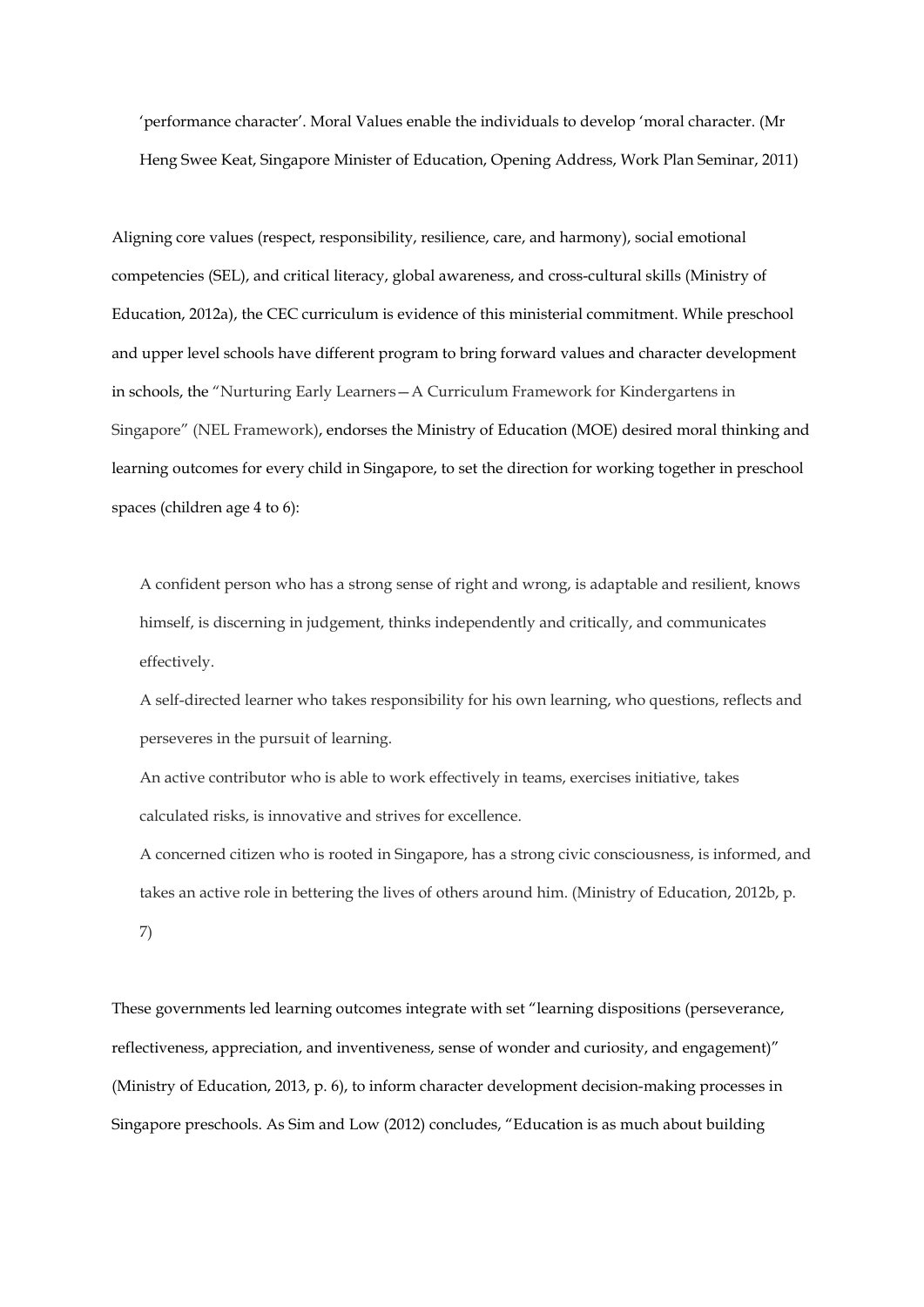'performance character'. Moral Values enable the individuals to develop 'moral character. (Mr Heng Swee Keat, Singapore Minister of Education, Opening Address, Work Plan Seminar, 2011)

Aligning core values (respect, responsibility, resilience, care, and harmony), social emotional competencies (SEL), and critical literacy, global awareness, and cross-cultural skills (Ministry of Education, 2012a), the CEC curriculum is evidence of this ministerial commitment. While preschool and upper level schools have different program to bring forward values and character development in schools, the "Nurturing Early Learners—A Curriculum Framework for Kindergartens in Singapore" (NEL Framework), endorses the Ministry of Education (MOE) desired moral thinking and learning outcomes for every child in Singapore, to set the direction for working together in preschool spaces (children age 4 to 6):

A confident person who has a strong sense of right and wrong, is adaptable and resilient, knows himself, is discerning in judgement, thinks independently and critically, and communicates effectively.

A self-directed learner who takes responsibility for his own learning, who questions, reflects and perseveres in the pursuit of learning.

An active contributor who is able to work effectively in teams, exercises initiative, takes calculated risks, is innovative and strives for excellence.

A concerned citizen who is rooted in Singapore, has a strong civic consciousness, is informed, and takes an active role in bettering the lives of others around him. (Ministry of Education, 2012b, p. 7)

These governments led learning outcomes integrate with set "learning dispositions (perseverance, reflectiveness, appreciation, and inventiveness, sense of wonder and curiosity, and engagement)" (Ministry of Education, 2013, p. 6), to inform character development decision-making processes in Singapore preschools. As Sim and Low (2012) concludes, "Education is as much about building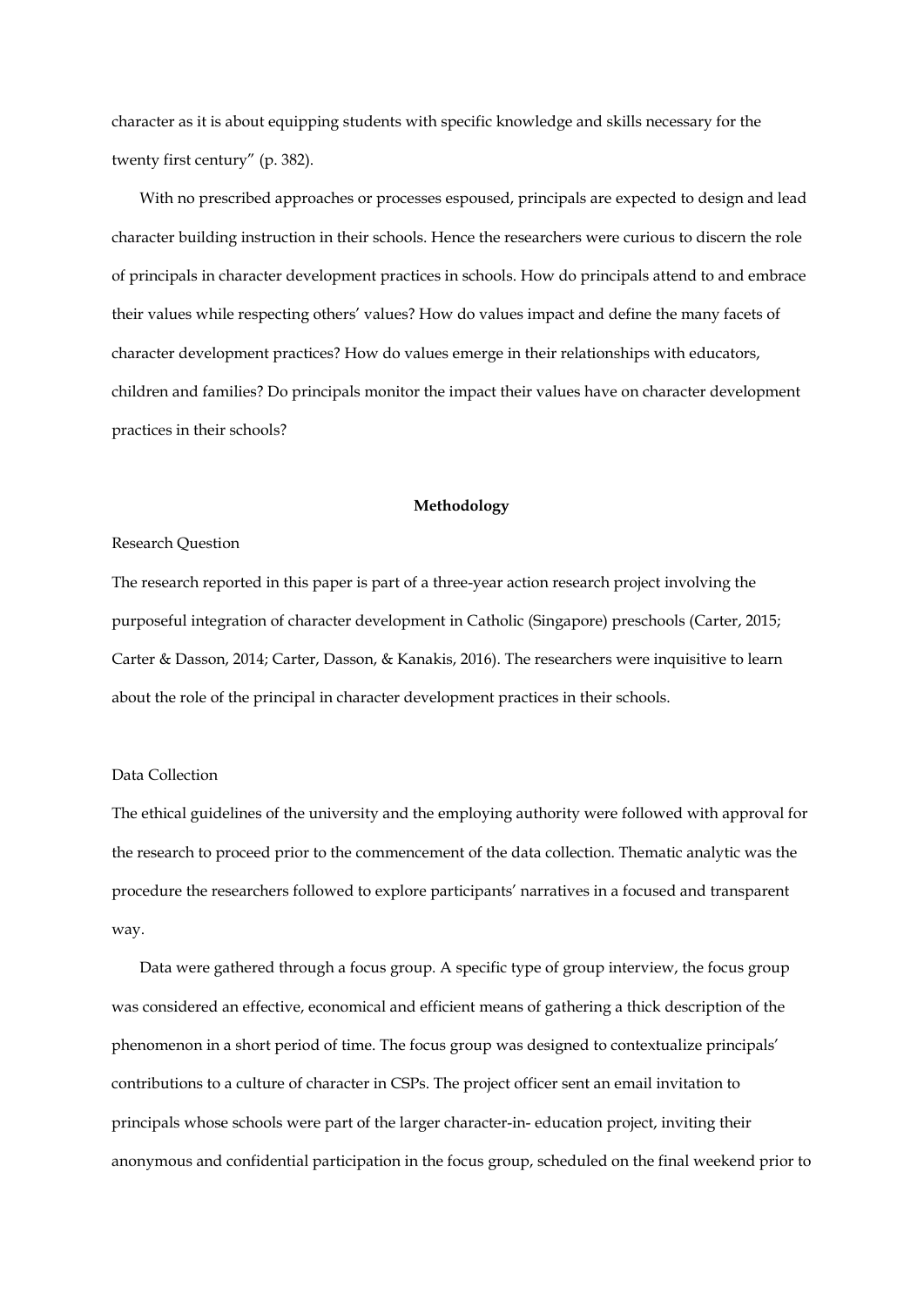character as it is about equipping students with specific knowledge and skills necessary for the twenty first century" (p. 382).

With no prescribed approaches or processes espoused, principals are expected to design and lead character building instruction in their schools. Hence the researchers were curious to discern the role of principals in character development practices in schools. How do principals attend to and embrace their values while respecting others' values? How do values impact and define the many facets of character development practices? How do values emerge in their relationships with educators, children and families? Do principals monitor the impact their values have on character development practices in their schools?

#### **Methodology**

#### Research Question

The research reported in this paper is part of a three-year action research project involving the purposeful integration of character development in Catholic (Singapore) preschools (Carter, 2015; Carter & Dasson, 2014; Carter, Dasson, & Kanakis, 2016). The researchers were inquisitive to learn about the role of the principal in character development practices in their schools.

# Data Collection

The ethical guidelines of the university and the employing authority were followed with approval for the research to proceed prior to the commencement of the data collection. Thematic analytic was the procedure the researchers followed to explore participants' narratives in a focused and transparent way.

Data were gathered through a focus group. A specific type of group interview, the focus group was considered an effective, economical and efficient means of gathering a thick description of the phenomenon in a short period of time. The focus group was designed to contextualize principals' contributions to a culture of character in CSPs. The project officer sent an email invitation to principals whose schools were part of the larger character-in- education project, inviting their anonymous and confidential participation in the focus group, scheduled on the final weekend prior to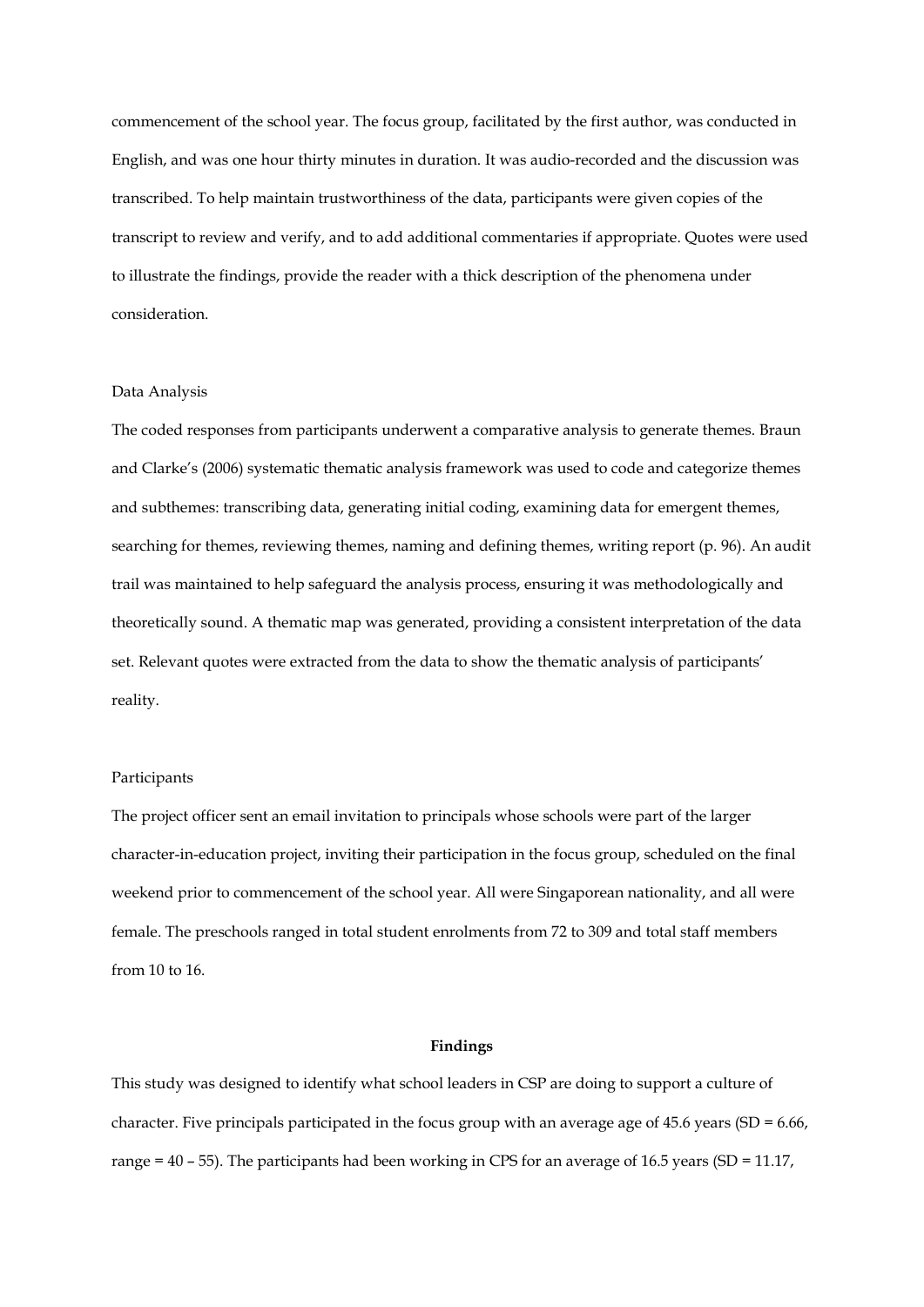commencement of the school year. The focus group, facilitated by the first author, was conducted in English, and was one hour thirty minutes in duration. It was audio-recorded and the discussion was transcribed. To help maintain trustworthiness of the data, participants were given copies of the transcript to review and verify, and to add additional commentaries if appropriate. Quotes were used to illustrate the findings, provide the reader with a thick description of the phenomena under consideration.

#### Data Analysis

The coded responses from participants underwent a comparative analysis to generate themes. Braun and Clarke's (2006) systematic thematic analysis framework was used to code and categorize themes and subthemes: transcribing data, generating initial coding, examining data for emergent themes, searching for themes, reviewing themes, naming and defining themes, writing report (p. 96). An audit trail was maintained to help safeguard the analysis process, ensuring it was methodologically and theoretically sound. A thematic map was generated, providing a consistent interpretation of the data set. Relevant quotes were extracted from the data to show the thematic analysis of participants' reality.

# Participants

The project officer sent an email invitation to principals whose schools were part of the larger character-in-education project, inviting their participation in the focus group, scheduled on the final weekend prior to commencement of the school year. All were Singaporean nationality, and all were female. The preschools ranged in total student enrolments from 72 to 309 and total staff members from 10 to 16.

# **Findings**

This study was designed to identify what school leaders in CSP are doing to support a culture of character. Five principals participated in the focus group with an average age of 45.6 years (SD = 6.66, range = 40 – 55). The participants had been working in CPS for an average of 16.5 years (SD = 11.17,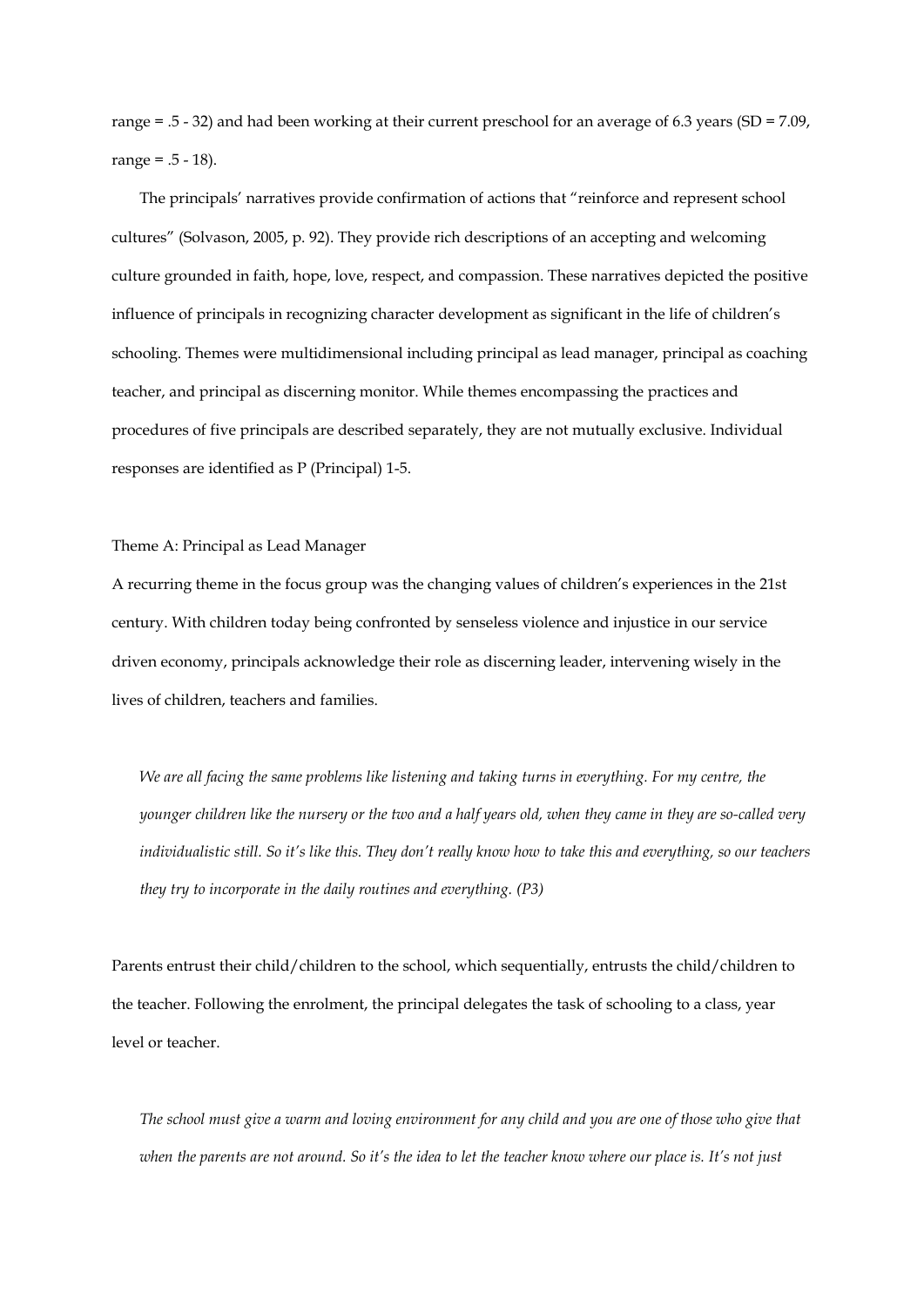range = .5 - 32) and had been working at their current preschool for an average of 6.3 years (SD = 7.09, range =  $.5 - 18$ ).

The principals' narratives provide confirmation of actions that "reinforce and represent school cultures" (Solvason, 2005, p. 92). They provide rich descriptions of an accepting and welcoming culture grounded in faith, hope, love, respect, and compassion. These narratives depicted the positive influence of principals in recognizing character development as significant in the life of children's schooling. Themes were multidimensional including principal as lead manager, principal as coaching teacher, and principal as discerning monitor. While themes encompassing the practices and procedures of five principals are described separately, they are not mutually exclusive. Individual responses are identified as P (Principal) 1-5.

Theme A: Principal as Lead Manager

A recurring theme in the focus group was the changing values of children's experiences in the 21st century. With children today being confronted by senseless violence and injustice in our service driven economy, principals acknowledge their role as discerning leader, intervening wisely in the lives of children, teachers and families.

*We are all facing the same problems like listening and taking turns in everything. For my centre, the younger children like the nursery or the two and a half years old, when they came in they are so-called very individualistic still. So it's like this. They don't really know how to take this and everything, so our teachers they try to incorporate in the daily routines and everything. (P3)*

Parents entrust their child/children to the school, which sequentially, entrusts the child/children to the teacher. Following the enrolment, the principal delegates the task of schooling to a class, year level or teacher.

*The school must give a warm and loving environment for any child and you are one of those who give that when the parents are not around. So it's the idea to let the teacher know where our place is. It's not just*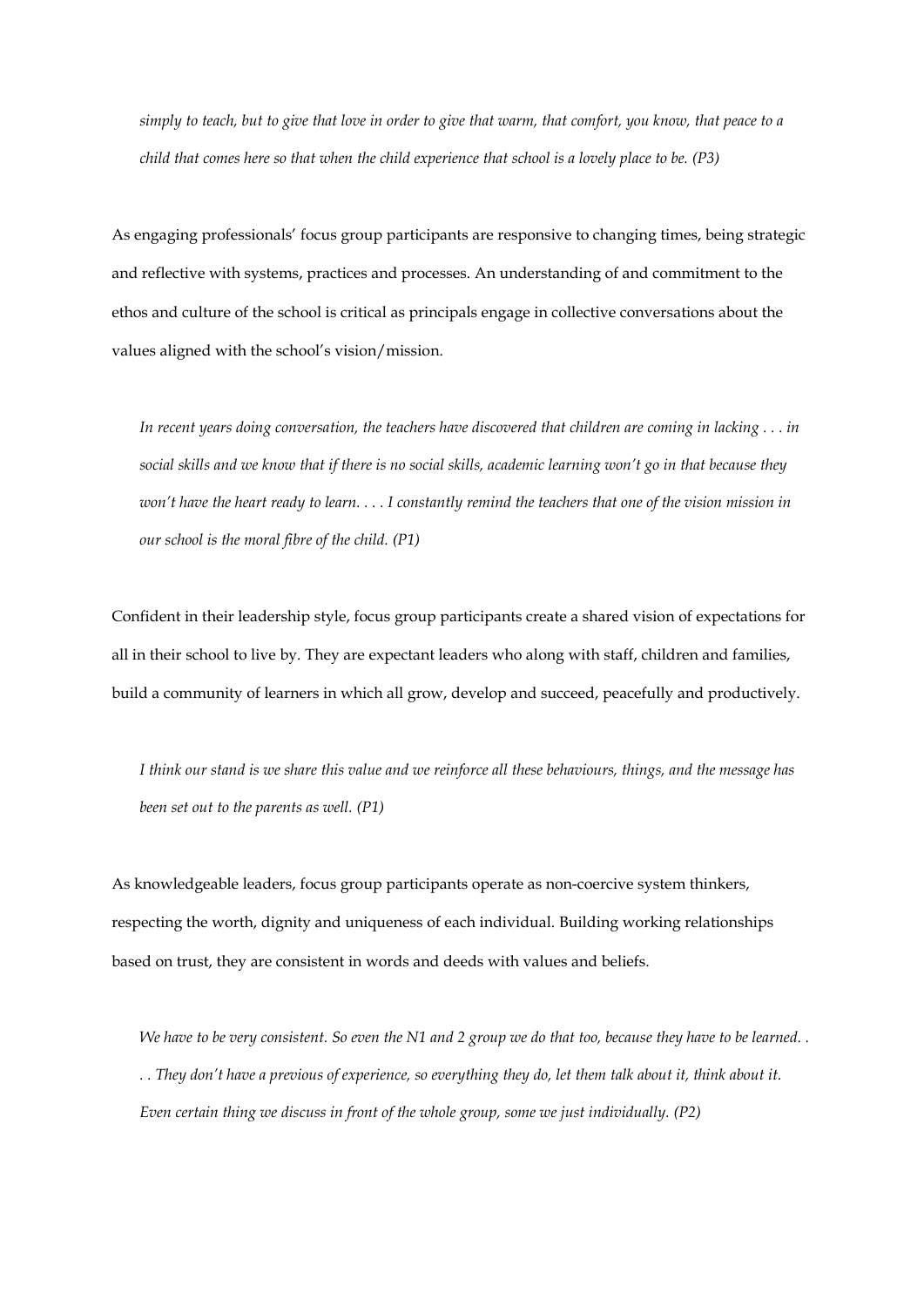*simply to teach, but to give that love in order to give that warm, that comfort, you know, that peace to a child that comes here so that when the child experience that school is a lovely place to be. (P3)*

As engaging professionals' focus group participants are responsive to changing times, being strategic and reflective with systems, practices and processes. An understanding of and commitment to the ethos and culture of the school is critical as principals engage in collective conversations about the values aligned with the school's vision/mission.

*In recent years doing conversation, the teachers have discovered that children are coming in lacking . . . in social skills and we know that if there is no social skills, academic learning won't go in that because they won't have the heart ready to learn. . . . I constantly remind the teachers that one of the vision mission in our school is the moral fibre of the child. (P1)*

Confident in their leadership style, focus group participants create a shared vision of expectations for all in their school to live by. They are expectant leaders who along with staff, children and families, build a community of learners in which all grow, develop and succeed, peacefully and productively.

*I think our stand is we share this value and we reinforce all these behaviours, things, and the message has been set out to the parents as well. (P1)*

As knowledgeable leaders, focus group participants operate as non-coercive system thinkers, respecting the worth, dignity and uniqueness of each individual. Building working relationships based on trust, they are consistent in words and deeds with values and beliefs.

*We have to be very consistent. So even the N1 and 2 group we do that too, because they have to be learned. . . . They don't have a previous of experience, so everything they do, let them talk about it, think about it. Even certain thing we discuss in front of the whole group, some we just individually. (P2)*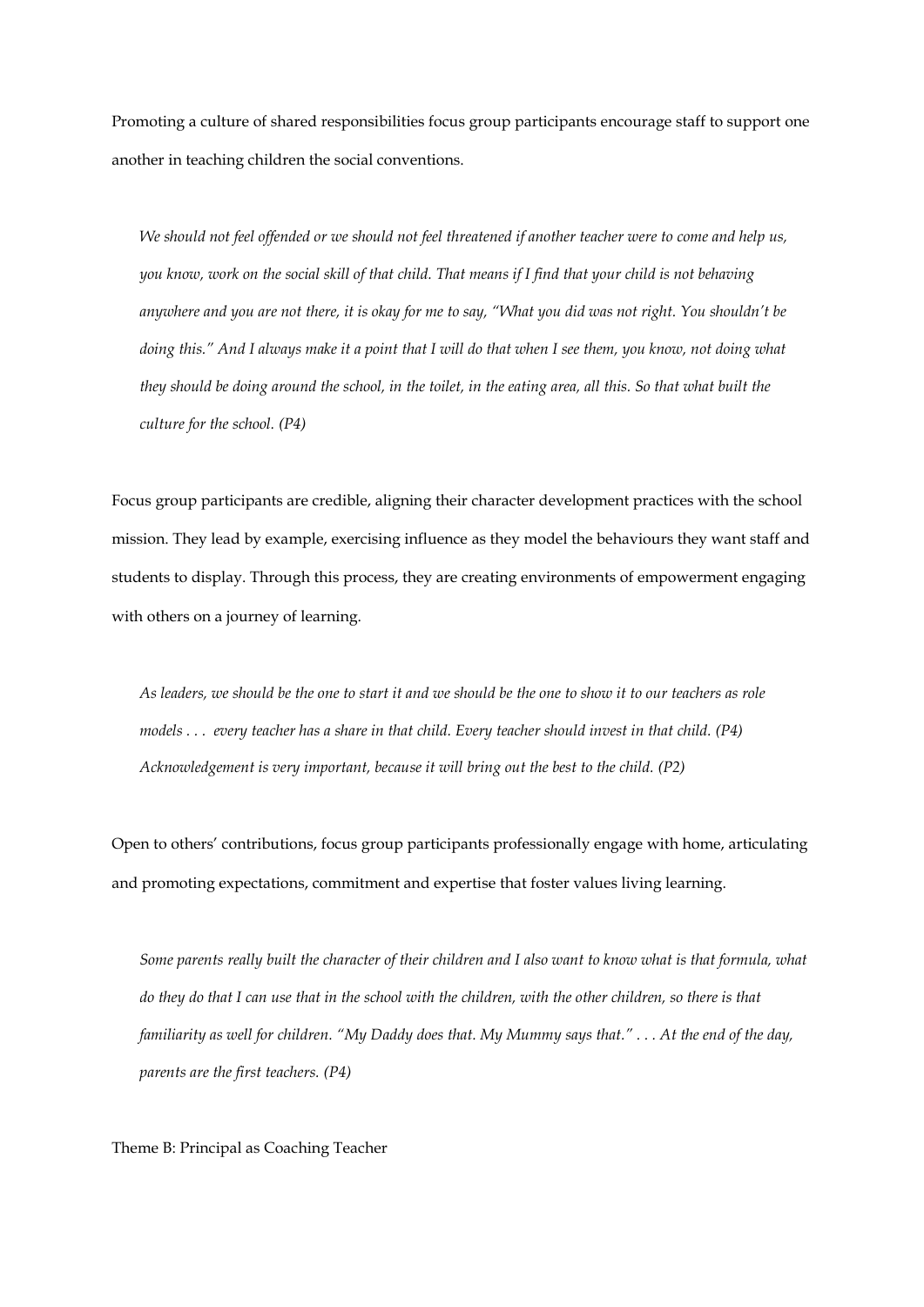Promoting a culture of shared responsibilities focus group participants encourage staff to support one another in teaching children the social conventions.

*We should not feel offended or we should not feel threatened if another teacher were to come and help us, you know, work on the social skill of that child. That means if I find that your child is not behaving anywhere and you are not there, it is okay for me to say, "What you did was not right. You shouldn't be doing this." And I always make it a point that I will do that when I see them, you know, not doing what they should be doing around the school, in the toilet, in the eating area, all this. So that what built the culture for the school. (P4)*

Focus group participants are credible, aligning their character development practices with the school mission. They lead by example, exercising influence as they model the behaviours they want staff and students to display. Through this process, they are creating environments of empowerment engaging with others on a journey of learning.

*As leaders, we should be the one to start it and we should be the one to show it to our teachers as role models . . . every teacher has a share in that child. Every teacher should invest in that child. (P4) Acknowledgement is very important, because it will bring out the best to the child. (P2)* 

Open to others' contributions, focus group participants professionally engage with home, articulating and promoting expectations, commitment and expertise that foster values living learning.

*Some parents really built the character of their children and I also want to know what is that formula, what do they do that I can use that in the school with the children, with the other children, so there is that familiarity as well for children. "My Daddy does that. My Mummy says that." . . . At the end of the day, parents are the first teachers. (P4)*

Theme B: Principal as Coaching Teacher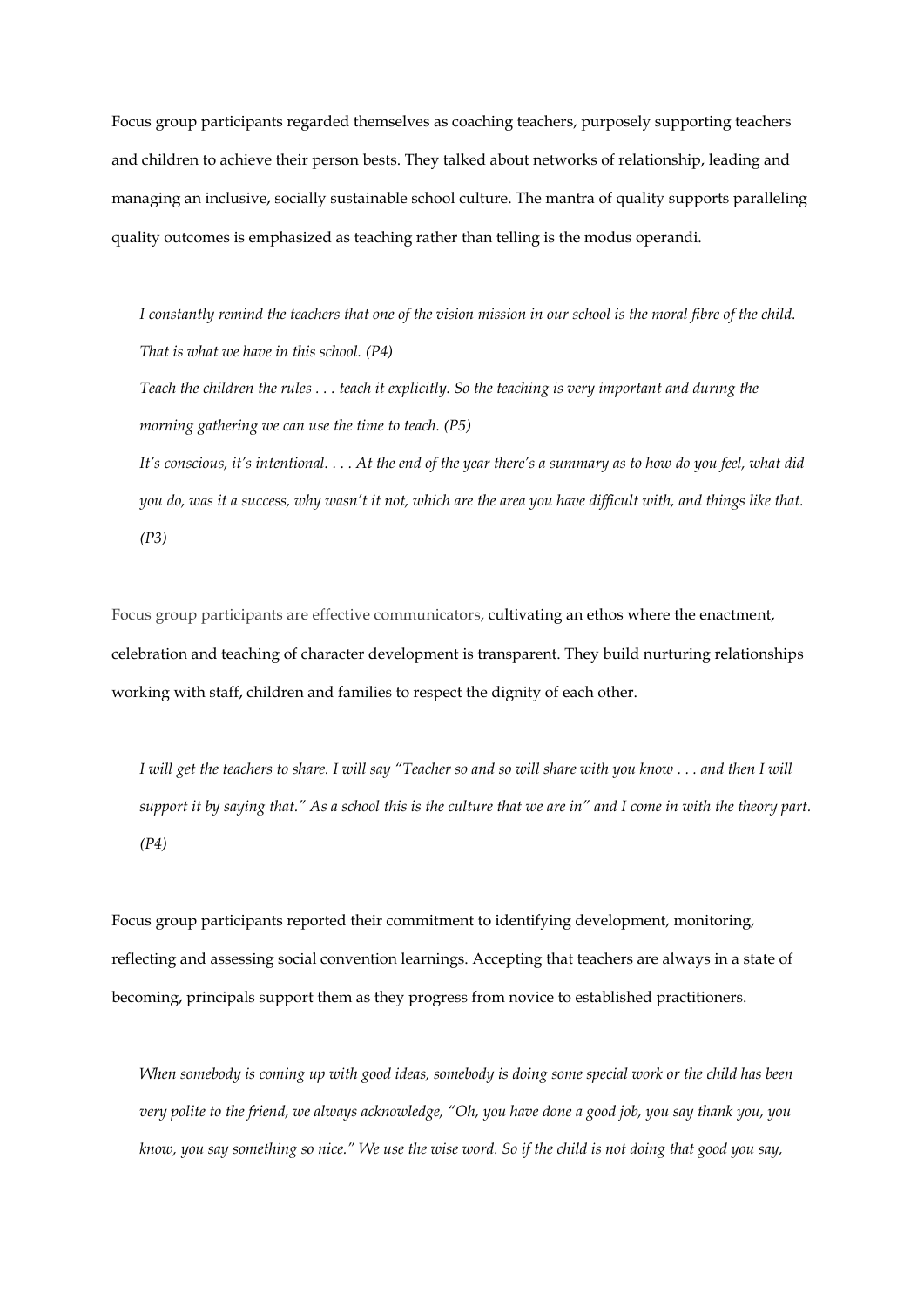Focus group participants regarded themselves as coaching teachers, purposely supporting teachers and children to achieve their person bests. They talked about networks of relationship, leading and managing an inclusive, socially sustainable school culture. The mantra of quality supports paralleling quality outcomes is emphasized as teaching rather than telling is the modus operandi.

*I constantly remind the teachers that one of the vision mission in our school is the moral fibre of the child. That is what we have in this school. (P4)*

*Teach the children the rules . . . teach it explicitly. So the teaching is very important and during the morning gathering we can use the time to teach. (P5)*

*It's conscious, it's intentional. . . . At the end of the year there's a summary as to how do you feel, what did you do, was it a success, why wasn't it not, which are the area you have difficult with, and things like that. (P3)*

Focus group participants are effective communicators, cultivating an ethos where the enactment, celebration and teaching of character development is transparent. They build nurturing relationships working with staff, children and families to respect the dignity of each other.

*I will get the teachers to share. I will say "Teacher so and so will share with you know . . . and then I will support it by saying that." As a school this is the culture that we are in" and I come in with the theory part. (P4)*

Focus group participants reported their commitment to identifying development, monitoring, reflecting and assessing social convention learnings. Accepting that teachers are always in a state of becoming, principals support them as they progress from novice to established practitioners.

*When somebody is coming up with good ideas, somebody is doing some special work or the child has been very polite to the friend, we always acknowledge, "Oh, you have done a good job, you say thank you, you know, you say something so nice." We use the wise word. So if the child is not doing that good you say,*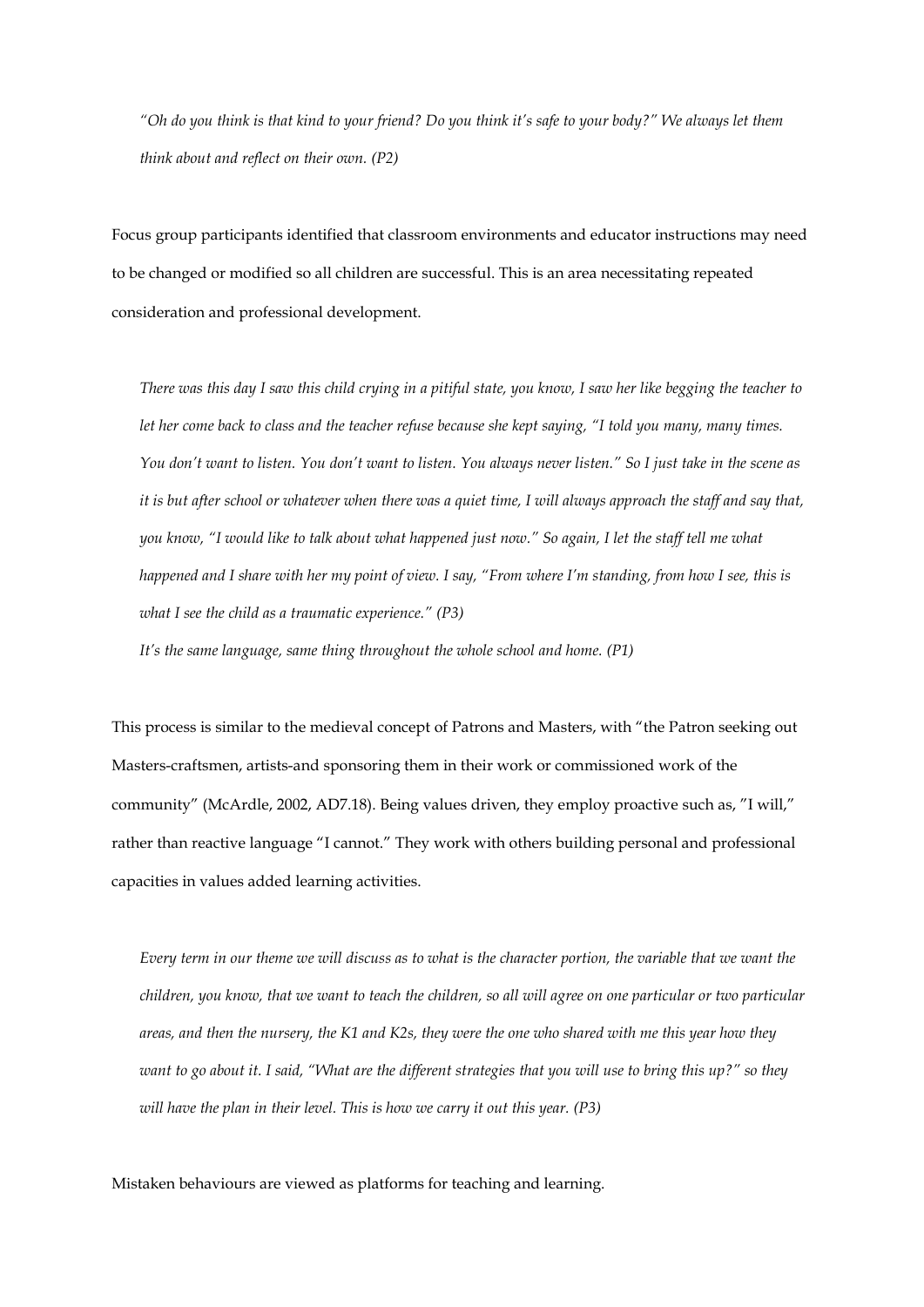*"Oh do you think is that kind to your friend? Do you think it's safe to your body?" We always let them think about and reflect on their own. (P2)* 

Focus group participants identified that classroom environments and educator instructions may need to be changed or modified so all children are successful. This is an area necessitating repeated consideration and professional development.

*There was this day I saw this child crying in a pitiful state, you know, I saw her like begging the teacher to let her come back to class and the teacher refuse because she kept saying, "I told you many, many times. You don't want to listen. You don't want to listen. You always never listen." So I just take in the scene as it is but after school or whatever when there was a quiet time, I will always approach the staff and say that, you know, "I would like to talk about what happened just now." So again, I let the staff tell me what happened and I share with her my point of view. I say, "From where I'm standing, from how I see, this is what I see the child as a traumatic experience." (P3)* 

*It's the same language, same thing throughout the whole school and home. (P1)*

This process is similar to the medieval concept of Patrons and Masters, with "the Patron seeking out Masters-craftsmen, artists-and sponsoring them in their work or commissioned work of the community" (McArdle, 2002, AD7.18). Being values driven, they employ proactive such as, "I will," rather than reactive language "I cannot." They work with others building personal and professional capacities in values added learning activities.

*Every term in our theme we will discuss as to what is the character portion, the variable that we want the children, you know, that we want to teach the children, so all will agree on one particular or two particular areas, and then the nursery, the K1 and K2s, they were the one who shared with me this year how they want to go about it. I said, "What are the different strategies that you will use to bring this up?" so they will have the plan in their level. This is how we carry it out this year. (P3)*

Mistaken behaviours are viewed as platforms for teaching and learning.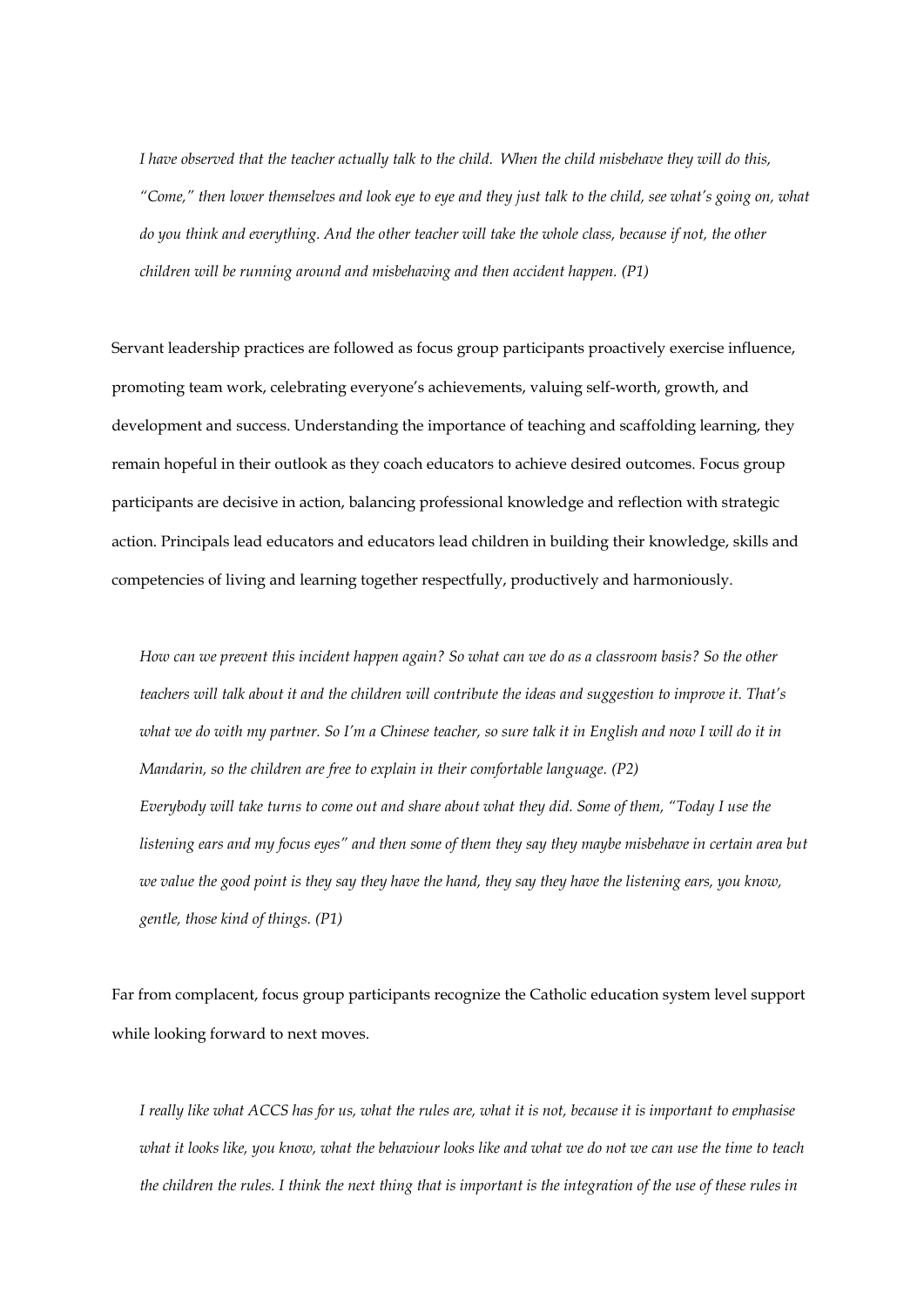*I have observed that the teacher actually talk to the child. When the child misbehave they will do this, "Come," then lower themselves and look eye to eye and they just talk to the child, see what's going on, what do you think and everything. And the other teacher will take the whole class, because if not, the other children will be running around and misbehaving and then accident happen. (P1)*

Servant leadership practices are followed as focus group participants proactively exercise influence, promoting team work, celebrating everyone's achievements, valuing self-worth, growth, and development and success. Understanding the importance of teaching and scaffolding learning, they remain hopeful in their outlook as they coach educators to achieve desired outcomes. Focus group participants are decisive in action, balancing professional knowledge and reflection with strategic action. Principals lead educators and educators lead children in building their knowledge, skills and competencies of living and learning together respectfully, productively and harmoniously.

*How can we prevent this incident happen again? So what can we do as a classroom basis? So the other teachers will talk about it and the children will contribute the ideas and suggestion to improve it. That's what we do with my partner. So I'm a Chinese teacher, so sure talk it in English and now I will do it in Mandarin, so the children are free to explain in their comfortable language. (P2) Everybody will take turns to come out and share about what they did. Some of them, "Today I use the listening ears and my focus eyes" and then some of them they say they maybe misbehave in certain area but we value the good point is they say they have the hand, they say they have the listening ears, you know, gentle, those kind of things. (P1)* 

Far from complacent, focus group participants recognize the Catholic education system level support while looking forward to next moves.

*I really like what ACCS has for us, what the rules are, what it is not, because it is important to emphasise what it looks like, you know, what the behaviour looks like and what we do not we can use the time to teach the children the rules. I think the next thing that is important is the integration of the use of these rules in*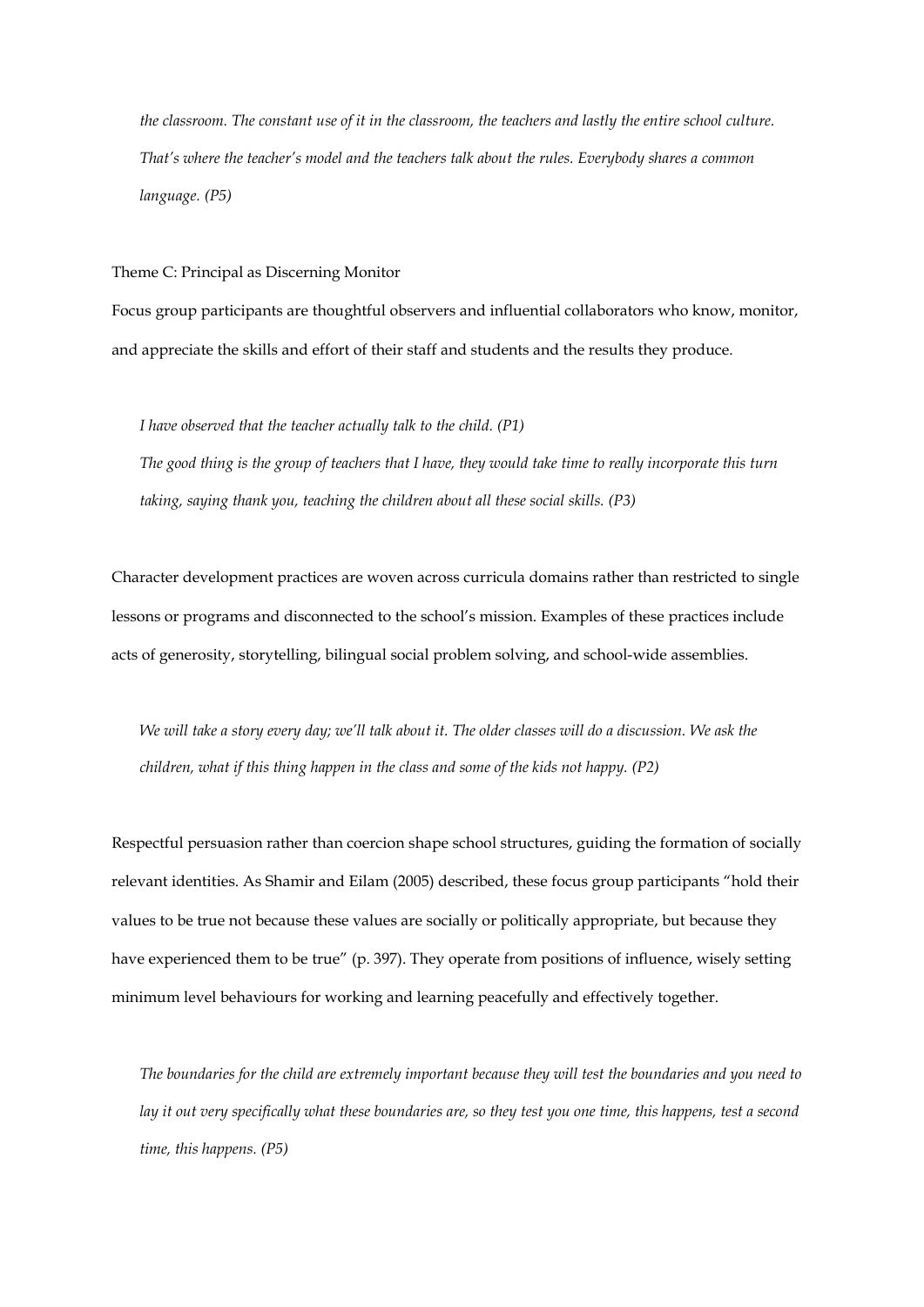*the classroom. The constant use of it in the classroom, the teachers and lastly the entire school culture. That's where the teacher's model and the teachers talk about the rules. Everybody shares a common language. (P5)*

Theme C: Principal as Discerning Monitor

Focus group participants are thoughtful observers and influential collaborators who know, monitor, and appreciate the skills and effort of their staff and students and the results they produce.

*I have observed that the teacher actually talk to the child. (P1) The good thing is the group of teachers that I have, they would take time to really incorporate this turn taking, saying thank you, teaching the children about all these social skills. (P3)* 

Character development practices are woven across curricula domains rather than restricted to single lessons or programs and disconnected to the school's mission. Examples of these practices include acts of generosity, storytelling, bilingual social problem solving, and school-wide assemblies.

*We will take a story every day; we'll talk about it. The older classes will do a discussion. We ask the children, what if this thing happen in the class and some of the kids not happy. (P2)* 

Respectful persuasion rather than coercion shape school structures, guiding the formation of socially relevant identities. As Shamir and Eilam (2005) described, these focus group participants "hold their values to be true not because these values are socially or politically appropriate, but because they have experienced them to be true" (p. 397). They operate from positions of influence, wisely setting minimum level behaviours for working and learning peacefully and effectively together.

*The boundaries for the child are extremely important because they will test the boundaries and you need to lay it out very specifically what these boundaries are, so they test you one time, this happens, test a second time, this happens. (P5)*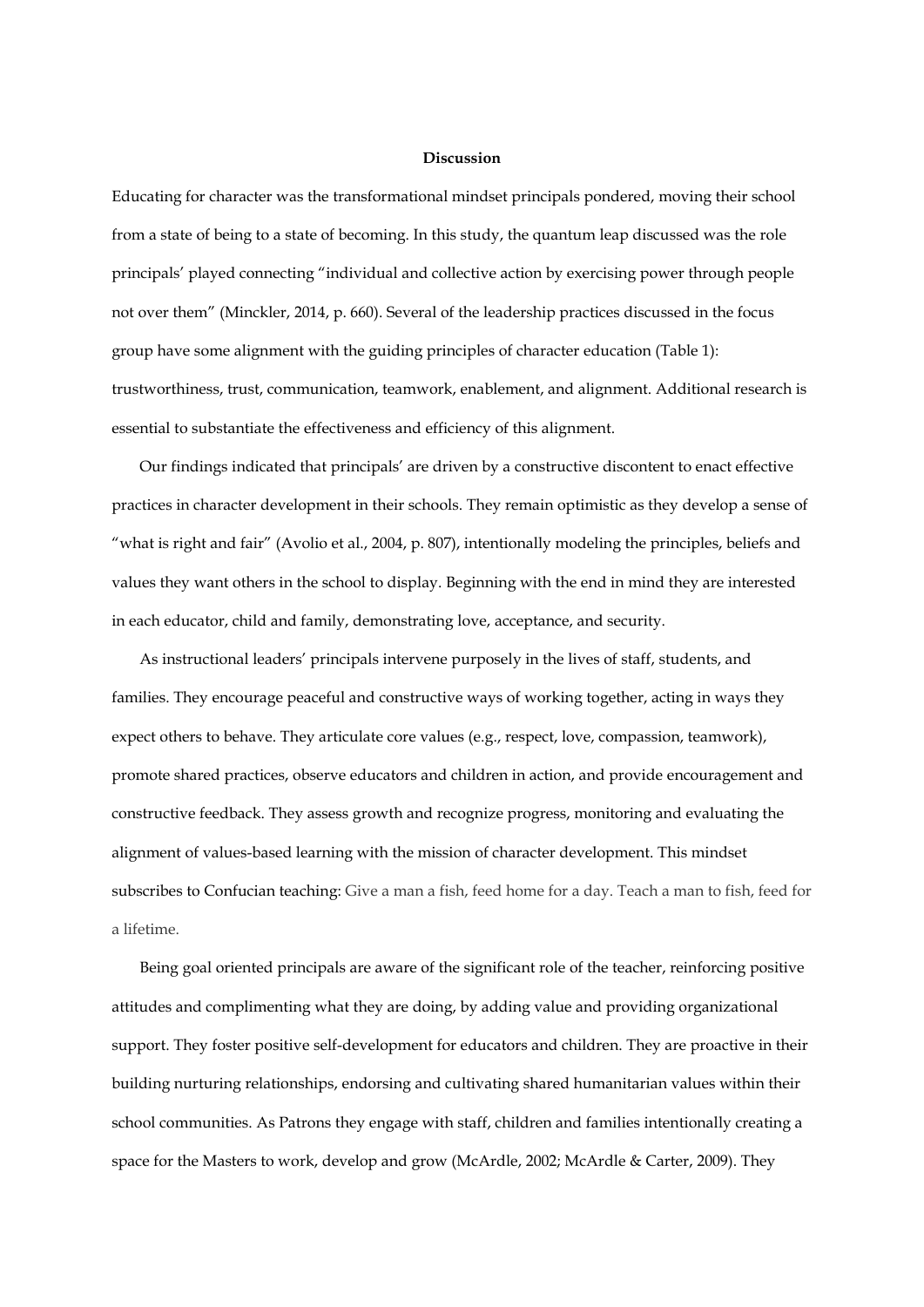#### **Discussion**

Educating for character was the transformational mindset principals pondered, moving their school from a state of being to a state of becoming. In this study, the quantum leap discussed was the role principals' played connecting "individual and collective action by exercising power through people not over them" (Minckler, 2014, p. 660). Several of the leadership practices discussed in the focus group have some alignment with the guiding principles of character education (Table 1): trustworthiness, trust, communication, teamwork, enablement, and alignment. Additional research is essential to substantiate the effectiveness and efficiency of this alignment.

Our findings indicated that principals' are driven by a constructive discontent to enact effective practices in character development in their schools. They remain optimistic as they develop a sense of "what is right and fair" (Avolio et al., 2004, p. 807), intentionally modeling the principles, beliefs and values they want others in the school to display. Beginning with the end in mind they are interested in each educator, child and family, demonstrating love, acceptance, and security.

As instructional leaders' principals intervene purposely in the lives of staff, students, and families. They encourage peaceful and constructive ways of working together, acting in ways they expect others to behave. They articulate core values (e.g., respect, love, compassion, teamwork), promote shared practices, observe educators and children in action, and provide encouragement and constructive feedback. They assess growth and recognize progress, monitoring and evaluating the alignment of values-based learning with the mission of character development. This mindset subscribes to Confucian teaching: Give a man a fish, feed home for a day. Teach a man to fish, feed for a lifetime.

Being goal oriented principals are aware of the significant role of the teacher, reinforcing positive attitudes and complimenting what they are doing, by adding value and providing organizational support. They foster positive self-development for educators and children. They are proactive in their building nurturing relationships, endorsing and cultivating shared humanitarian values within their school communities. As Patrons they engage with staff, children and families intentionally creating a space for the Masters to work, develop and grow (McArdle, 2002; McArdle & Carter, 2009). They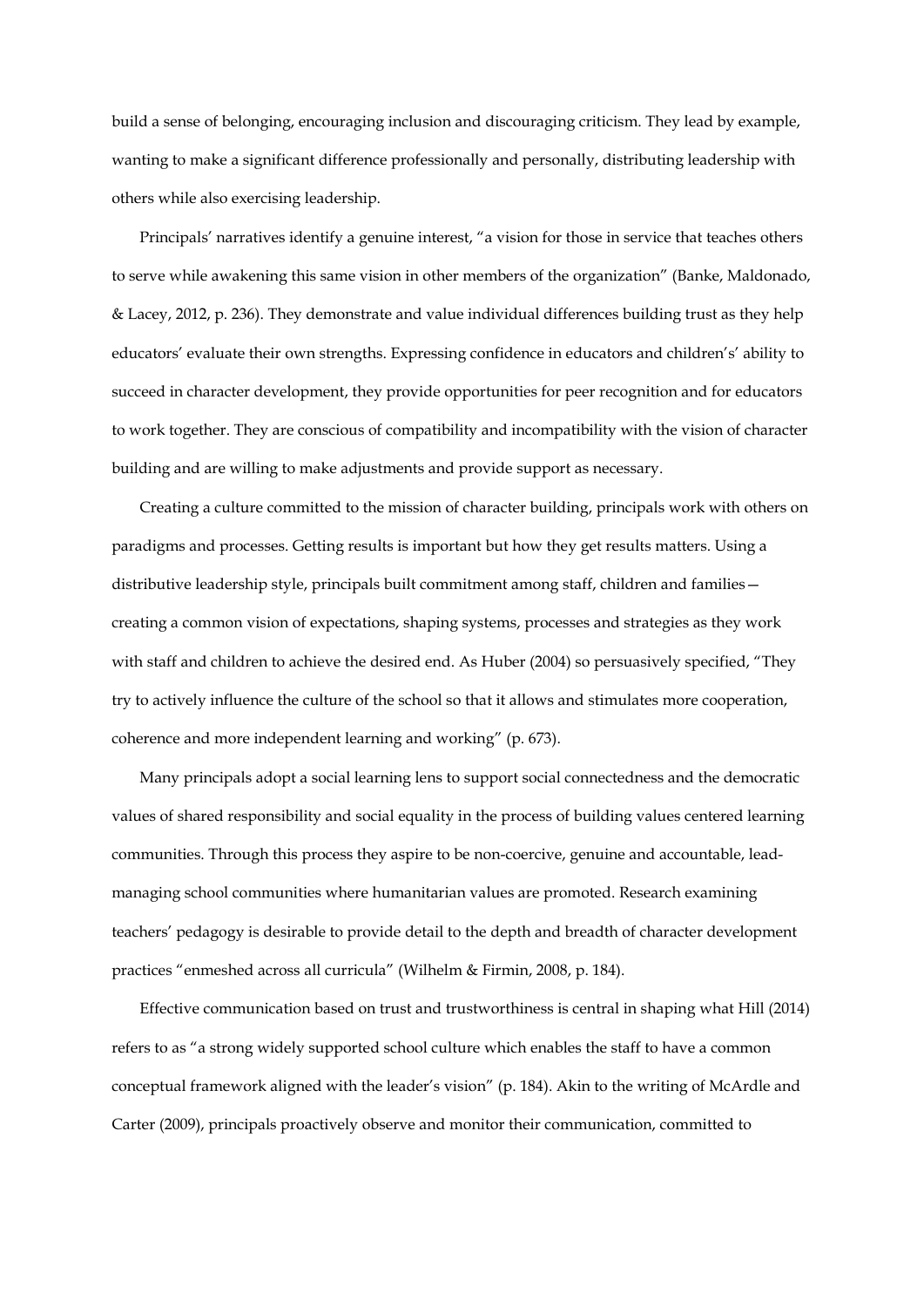build a sense of belonging, encouraging inclusion and discouraging criticism. They lead by example, wanting to make a significant difference professionally and personally, distributing leadership with others while also exercising leadership.

Principals' narratives identify a genuine interest, "a vision for those in service that teaches others to serve while awakening this same vision in other members of the organization" (Banke, Maldonado, & Lacey, 2012, p. 236). They demonstrate and value individual differences building trust as they help educators' evaluate their own strengths. Expressing confidence in educators and children's' ability to succeed in character development, they provide opportunities for peer recognition and for educators to work together. They are conscious of compatibility and incompatibility with the vision of character building and are willing to make adjustments and provide support as necessary.

Creating a culture committed to the mission of character building, principals work with others on paradigms and processes. Getting results is important but how they get results matters. Using a distributive leadership style, principals built commitment among staff, children and families creating a common vision of expectations, shaping systems, processes and strategies as they work with staff and children to achieve the desired end. As Huber (2004) so persuasively specified, "They try to actively influence the culture of the school so that it allows and stimulates more cooperation, coherence and more independent learning and working" (p. 673).

Many principals adopt a social learning lens to support social connectedness and the democratic values of shared responsibility and social equality in the process of building values centered learning communities. Through this process they aspire to be non-coercive, genuine and accountable, leadmanaging school communities where humanitarian values are promoted. Research examining teachers' pedagogy is desirable to provide detail to the depth and breadth of character development practices "enmeshed across all curricula" (Wilhelm & Firmin, 2008, p. 184).

Effective communication based on trust and trustworthiness is central in shaping what Hill (2014) refers to as "a strong widely supported school culture which enables the staff to have a common conceptual framework aligned with the leader's vision" (p. 184). Akin to the writing of McArdle and Carter (2009), principals proactively observe and monitor their communication, committed to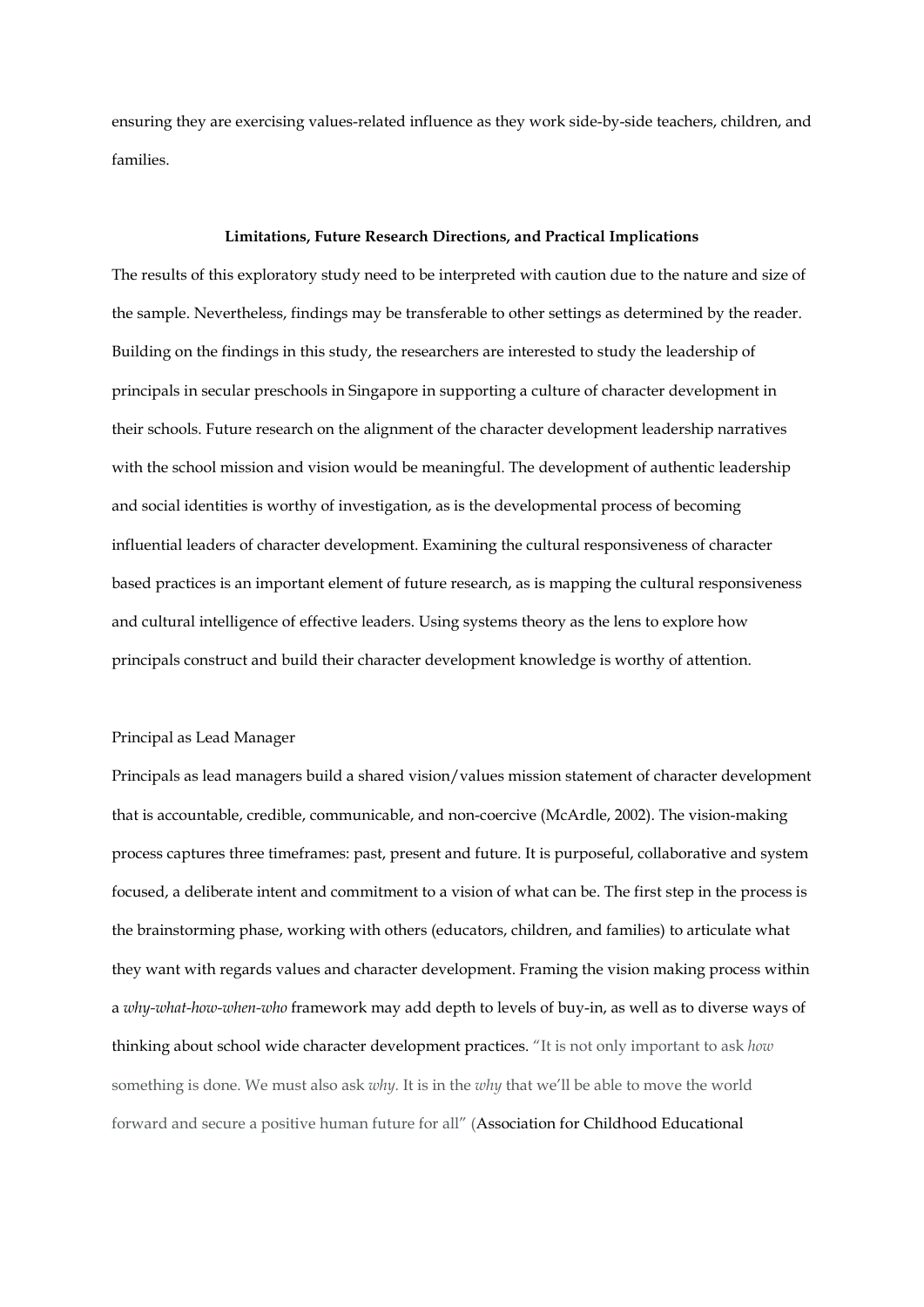ensuring they are exercising values-related influence as they work side-by-side teachers, children, and families.

#### **Limitations, Future Research Directions, and Practical Implications**

The results of this exploratory study need to be interpreted with caution due to the nature and size of the sample. Nevertheless, findings may be transferable to other settings as determined by the reader. Building on the findings in this study, the researchers are interested to study the leadership of principals in secular preschools in Singapore in supporting a culture of character development in their schools. Future research on the alignment of the character development leadership narratives with the school mission and vision would be meaningful. The development of authentic leadership and social identities is worthy of investigation, as is the developmental process of becoming influential leaders of character development. Examining the cultural responsiveness of character based practices is an important element of future research, as is mapping the cultural responsiveness and cultural intelligence of effective leaders. Using systems theory as the lens to explore how principals construct and build their character development knowledge is worthy of attention.

#### Principal as Lead Manager

Principals as lead managers build a shared vision/values mission statement of character development that is accountable, credible, communicable, and non-coercive (McArdle, 2002). The vision-making process captures three timeframes: past, present and future. It is purposeful, collaborative and system focused, a deliberate intent and commitment to a vision of what can be. The first step in the process is the brainstorming phase, working with others (educators, children, and families) to articulate what they want with regards values and character development. Framing the vision making process within a *why-what-how-when-who* framework may add depth to levels of buy-in, as well as to diverse ways of thinking about school wide character development practices. "It is not only important to ask *how*  something is done. We must also ask *why.* It is in the *why* that we'll be able to move the world forward and secure a positive human future for all" (Association for Childhood Educational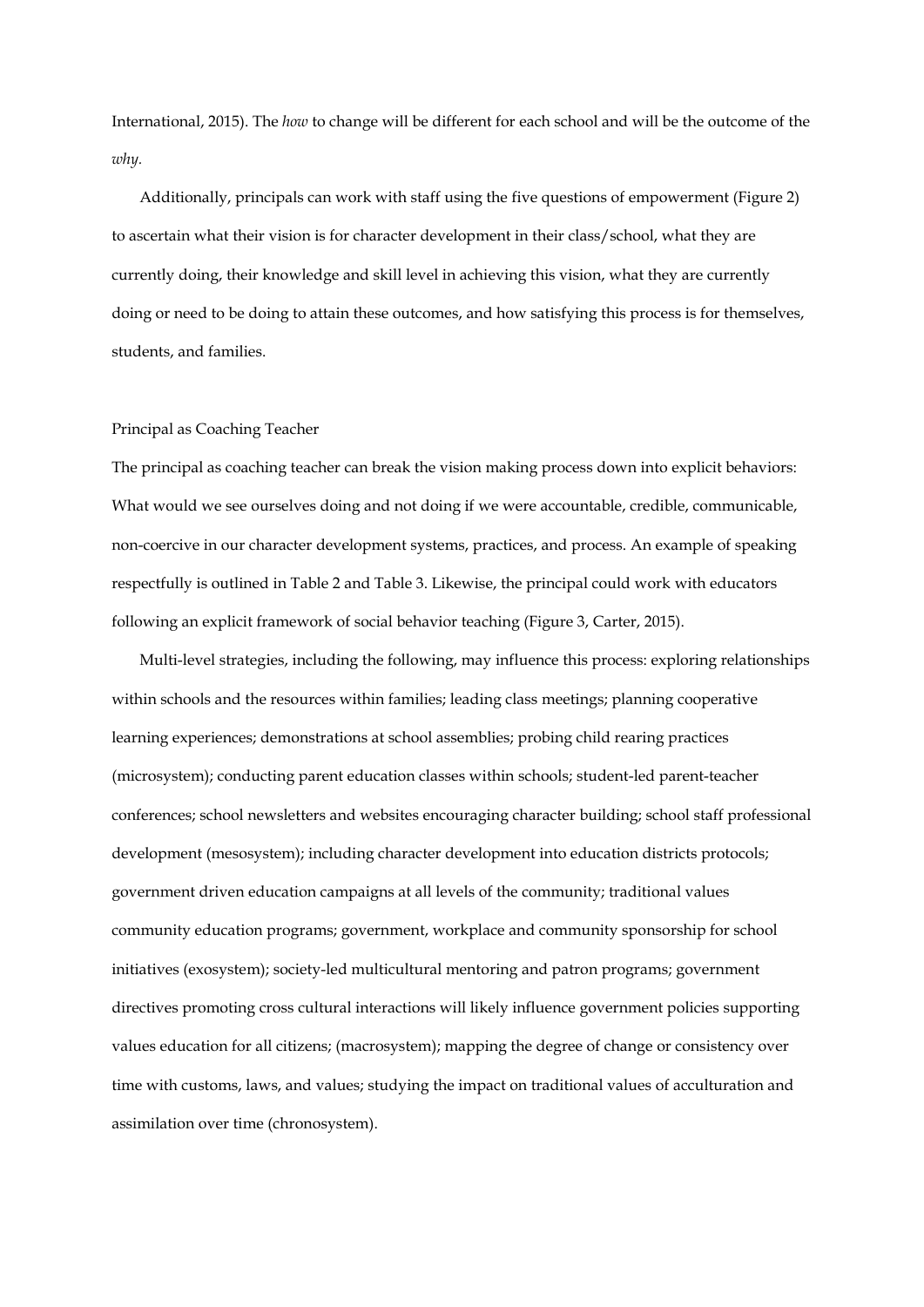International, 2015). The *how* to change will be different for each school and will be the outcome of the *why.*

Additionally, principals can work with staff using the five questions of empowerment (Figure 2) to ascertain what their vision is for character development in their class/school, what they are currently doing, their knowledge and skill level in achieving this vision, what they are currently doing or need to be doing to attain these outcomes, and how satisfying this process is for themselves, students, and families.

#### Principal as Coaching Teacher

The principal as coaching teacher can break the vision making process down into explicit behaviors: What would we see ourselves doing and not doing if we were accountable, credible, communicable, non-coercive in our character development systems, practices, and process. An example of speaking respectfully is outlined in Table 2 and Table 3. Likewise, the principal could work with educators following an explicit framework of social behavior teaching (Figure 3, Carter, 2015).

Multi-level strategies, including the following, may influence this process: exploring relationships within schools and the resources within families; leading class meetings; planning cooperative learning experiences; demonstrations at school assemblies; probing child rearing practices (microsystem); conducting parent education classes within schools; student-led parent-teacher conferences; school newsletters and websites encouraging character building; school staff professional development (mesosystem); including character development into education districts protocols; government driven education campaigns at all levels of the community; traditional values community education programs; government, workplace and community sponsorship for school initiatives (exosystem); society-led multicultural mentoring and patron programs; government directives promoting cross cultural interactions will likely influence government policies supporting values education for all citizens; (macrosystem); mapping the degree of change or consistency over time with customs, laws, and values; studying the impact on traditional values of acculturation and assimilation over time (chronosystem).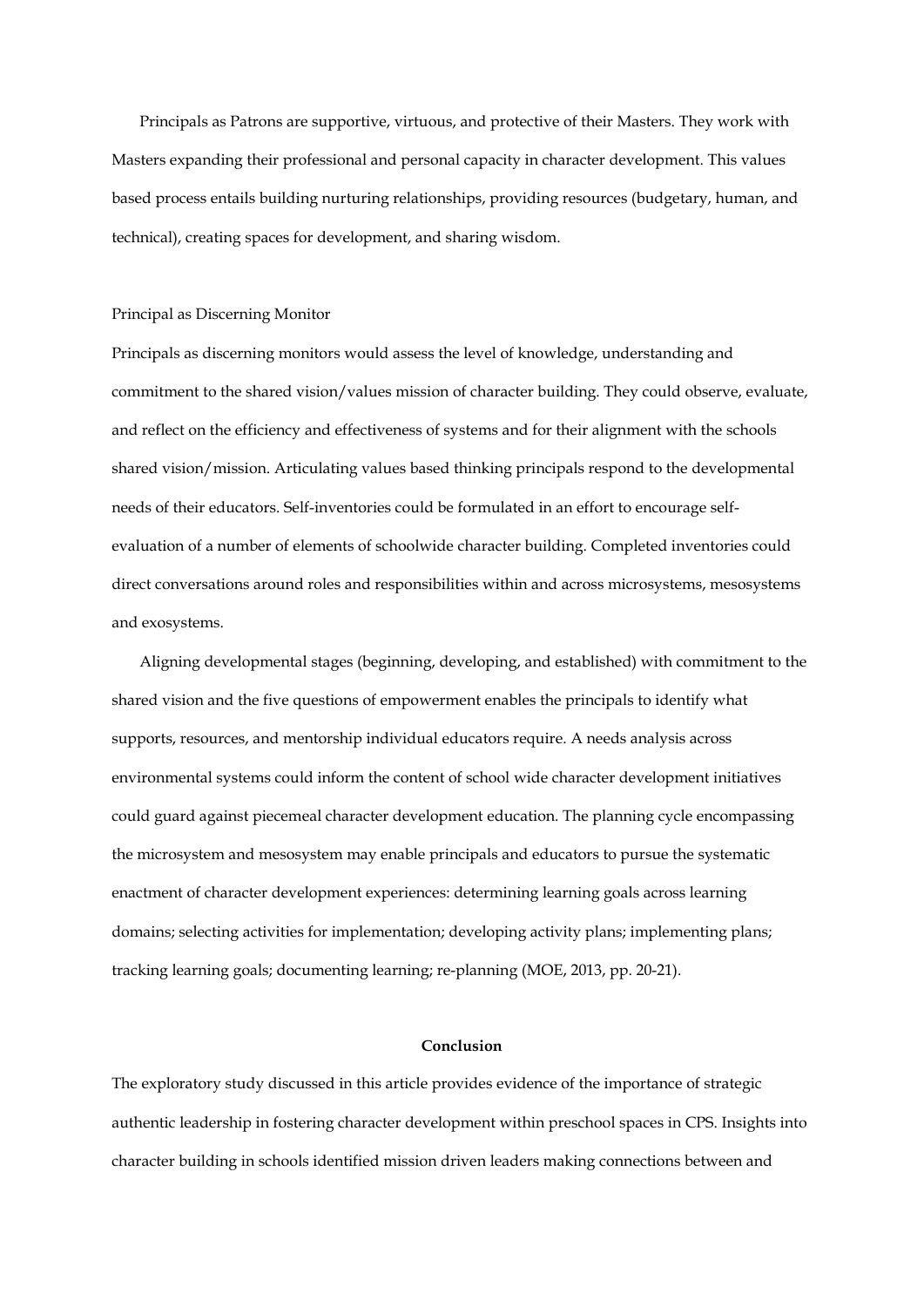Principals as Patrons are supportive, virtuous, and protective of their Masters. They work with Masters expanding their professional and personal capacity in character development. This values based process entails building nurturing relationships, providing resources (budgetary, human, and technical), creating spaces for development, and sharing wisdom.

# Principal as Discerning Monitor

Principals as discerning monitors would assess the level of knowledge, understanding and commitment to the shared vision/values mission of character building. They could observe, evaluate, and reflect on the efficiency and effectiveness of systems and for their alignment with the schools shared vision/mission. Articulating values based thinking principals respond to the developmental needs of their educators. Self-inventories could be formulated in an effort to encourage selfevaluation of a number of elements of schoolwide character building. Completed inventories could direct conversations around roles and responsibilities within and across microsystems, mesosystems and exosystems.

Aligning developmental stages (beginning, developing, and established) with commitment to the shared vision and the five questions of empowerment enables the principals to identify what supports, resources, and mentorship individual educators require. A needs analysis across environmental systems could inform the content of school wide character development initiatives could guard against piecemeal character development education. The planning cycle encompassing the microsystem and mesosystem may enable principals and educators to pursue the systematic enactment of character development experiences: determining learning goals across learning domains; selecting activities for implementation; developing activity plans; implementing plans; tracking learning goals; documenting learning; re-planning (MOE, 2013, pp. 20-21).

## **Conclusion**

The exploratory study discussed in this article provides evidence of the importance of strategic authentic leadership in fostering character development within preschool spaces in CPS. Insights into character building in schools identified mission driven leaders making connections between and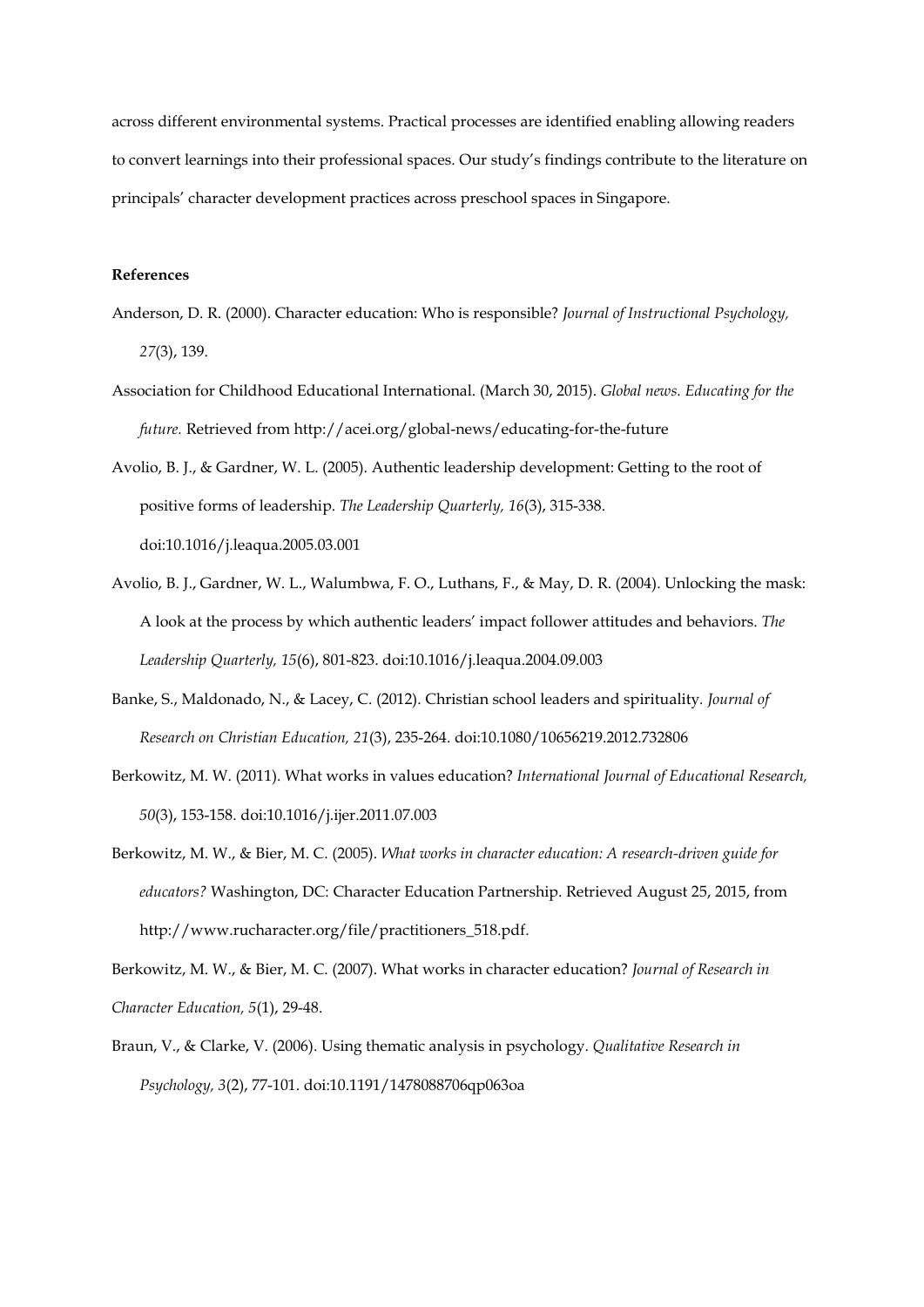across different environmental systems. Practical processes are identified enabling allowing readers to convert learnings into their professional spaces. Our study's findings contribute to the literature on principals' character development practices across preschool spaces in Singapore.

# **References**

- Anderson, D. R. (2000). Character education: Who is responsible? *Journal of Instructional Psychology, 27*(3), 139.
- Association for Childhood Educational International. (March 30, 2015). *Global news. Educating for the future.* Retrieved from http://acei.org/global-news/educating-for-the-future
- Avolio, B. J., & Gardner, W. L. (2005). Authentic leadership development: Getting to the root of positive forms of leadership. *The Leadership Quarterly, 16*(3), 315-338. doi:10.1016/j.leaqua.2005.03.001
- Avolio, B. J., Gardner, W. L., Walumbwa, F. O., Luthans, F., & May, D. R. (2004). Unlocking the mask: A look at the process by which authentic leaders' impact follower attitudes and behaviors. *The Leadership Quarterly, 15*(6), 801-823. doi:10.1016/j.leaqua.2004.09.003
- Banke, S., Maldonado, N., & Lacey, C. (2012). Christian school leaders and spirituality*. Journal of Research on Christian Education, 21*(3), 235-264. doi:10.1080/10656219.2012.732806
- Berkowitz, M. W. (2011). What works in values education? *International Journal of Educational Research, 50*(3), 153-158. doi:10.1016/j.ijer.2011.07.003
- Berkowitz, M. W., & Bier, M. C. (2005). *What works in character education: A research-driven guide for educators?* Washington, DC: Character Education Partnership. Retrieved August 25, 2015, from [http://www.rucharacter.org/file/practitioners\\_518.pdf.](http://www.rucharacter.org/file/practitioners_518.pdf)

Berkowitz, M. W., & Bier, M. C. (2007). What works in character education? *Journal of Research in Character Education, 5*(1), 29-48.

Braun, V., & Clarke, V. (2006). Using thematic analysis in psychology. *Qualitative Research in Psychology, 3*(2), 77-101. doi:10.1191/1478088706qp063oa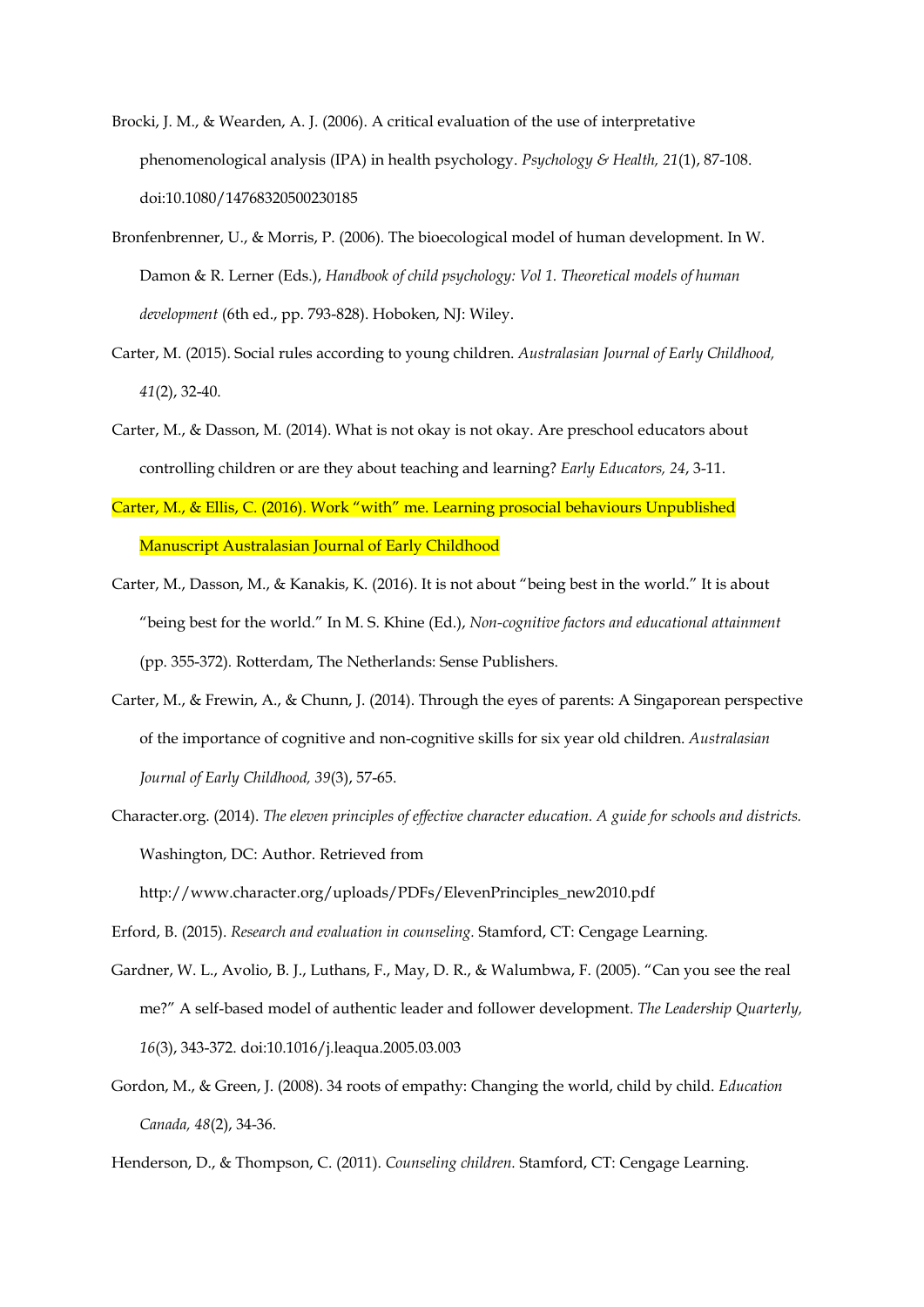- Brocki, J. M., & Wearden, A. J. (2006). A critical evaluation of the use of interpretative phenomenological analysis (IPA) in health psychology. *Psychology & Health, 21*(1), 87-108. doi:10.1080/14768320500230185
- Bronfenbrenner, U., & Morris, P. (2006). The bioecological model of human development. In W. Damon & R. Lerner (Eds.), *Handbook of child psychology: Vol 1. Theoretical models of human development* (6th ed., pp. 793-828). Hoboken, NJ: Wiley.
- Carter, M. (2015). Social rules according to young children. *Australasian Journal of Early Childhood, 41*(2), 32-40.
- Carter, M., & Dasson, M. (2014). What is not okay is not okay. Are preschool educators about controlling children or are they about teaching and learning? *Early Educators, 24*, 3-11.
- Carter, M., & Ellis, C. (2016). Work "with" me. Learning prosocial behaviours Unpublished Manuscript Australasian Journal of Early Childhood
- Carter, M., Dasson, M., & Kanakis, K. (2016). It is not about "being best in the world." It is about "being best for the world." In M. S. Khine (Ed.), *Non-cognitive factors and educational attainment* (pp. 355-372)*.* Rotterdam, The Netherlands: Sense Publishers.
- Carter, M., & Frewin, A., & Chunn, J. (2014). Through the eyes of parents: A Singaporean perspective of the importance of cognitive and non-cognitive skills for six year old children. *Australasian Journal of Early Childhood, 39*(3), 57-65.
- Character.org. (2014). *The eleven principles of effective character education. A guide for schools and districts.* Washington, DC: Author. Retrieved from

http://www.character.org/uploads/PDFs/ElevenPrinciples\_new2010.pdf

Erford, B. (2015). *Research and evaluation in counseling.* Stamford, CT: Cengage Learning.

- Gardner, W. L., Avolio, B. J., Luthans, F., May, D. R., & Walumbwa, F. (2005). "Can you see the real me?" A self-based model of authentic leader and follower development. *The Leadership Quarterly, 16*(3), 343-372. doi:10.1016/j.leaqua.2005.03.003
- Gordon, M., & Green, J. (2008). 34 roots of empathy: Changing the world, child by child. *Education Canada, 48*(2), 34-36.

Henderson, D., & Thompson, C. (2011). *Counseling children.* Stamford, CT: Cengage Learning.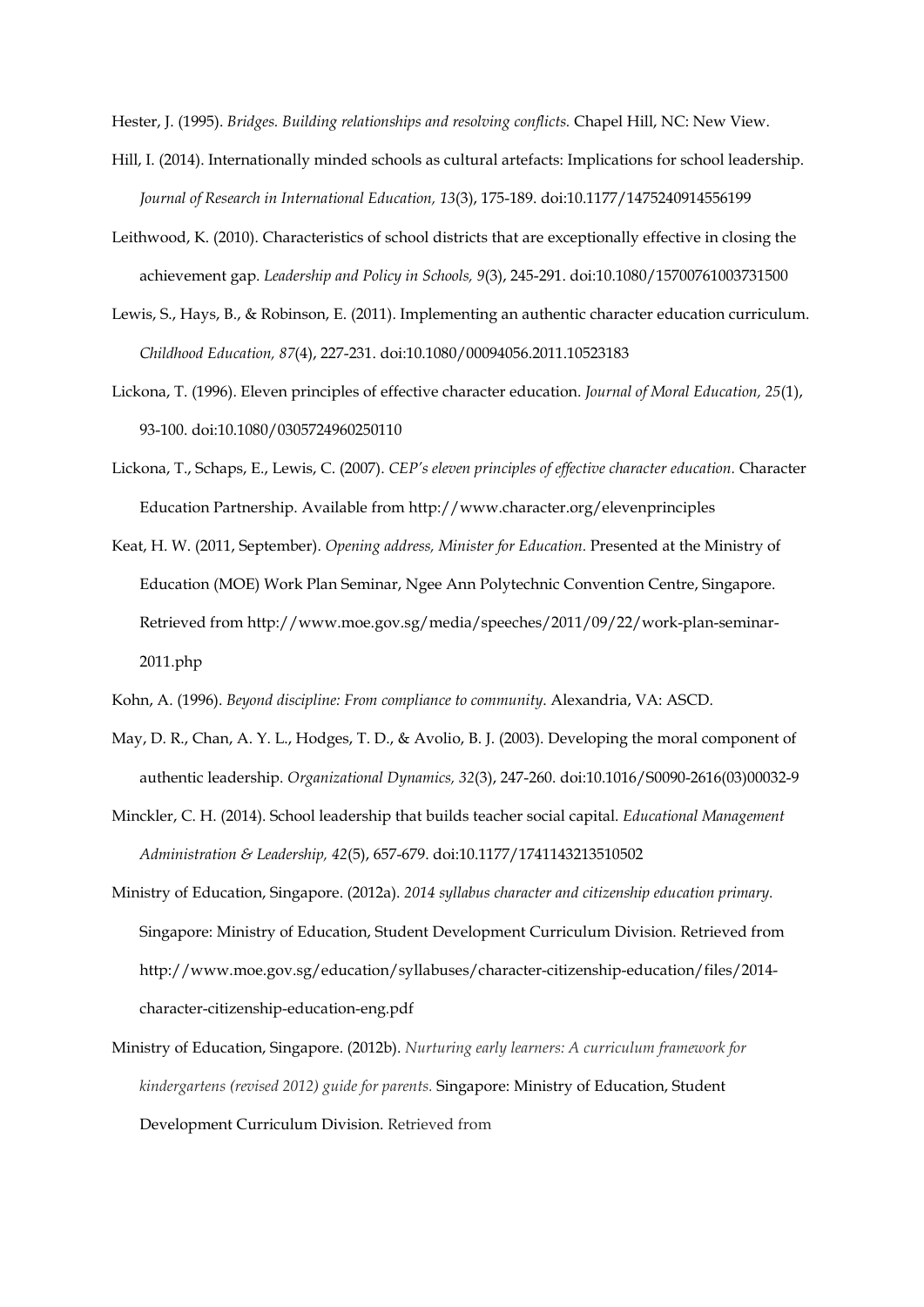Hester, J. (1995). *Bridges. Building relationships and resolving conflicts.* Chapel Hill, NC: New View.

- Hill, I. (2014). Internationally minded schools as cultural artefacts: Implications for school leadership. *Journal of Research in International Education, 13*(3), 175-189. doi:10.1177/1475240914556199
- Leithwood, K. (2010). Characteristics of school districts that are exceptionally effective in closing the achievement gap. *Leadership and Policy in Schools, 9*(3), 245-291. doi:10.1080/15700761003731500
- Lewis, S., Hays, B., & Robinson, E. (2011). Implementing an authentic character education curriculum. *Childhood Education, 87*(4), 227-231. doi:10.1080/00094056.2011.10523183
- Lickona, T. (1996). Eleven principles of effective character education. *Journal of Moral Education, 25*(1), 93-100. doi:10.1080/0305724960250110
- Lickona, T., Schaps, E., Lewis, C. (2007). *CEP's eleven principles of effective character education.* Character Education Partnership. Available from http://www.character.org/elevenprinciples
- Keat, H. W. (2011, September). *Opening address, Minister for Education.* Presented at the Ministry of Education (MOE) Work Plan Seminar, Ngee Ann Polytechnic Convention Centre, Singapore. Retrieved from http://www.moe.gov.sg/media/speeches/2011/09/22/work-plan-seminar-2011.php
- Kohn, A. (1996). *Beyond discipline: From compliance to community*. Alexandria, VA: ASCD.
- May, D. R., Chan, A. Y. L., Hodges, T. D., & Avolio, B. J. (2003). Developing the moral component of authentic leadership. *Organizational Dynamics, 32*(3), 247-260. doi:10.1016/S0090-2616(03)00032-9
- Minckler, C. H. (2014). School leadership that builds teacher social capital. *Educational Management Administration & Leadership, 42*(5), 657-679. doi:10.1177/1741143213510502
- Ministry of Education, Singapore. (2012a). *2014 syllabus character and citizenship education primary.* Singapore: Ministry of Education, Student Development Curriculum Division. Retrieved from http://www.moe.gov.sg/education/syllabuses/character-citizenship-education/files/2014 character-citizenship-education-eng.pdf
- Ministry of Education, Singapore. (2012b). *Nurturing early learners: A curriculum framework for kindergartens (revised 2012) guide for parents.* Singapore: Ministry of Education, Student Development Curriculum Division. Retrieved from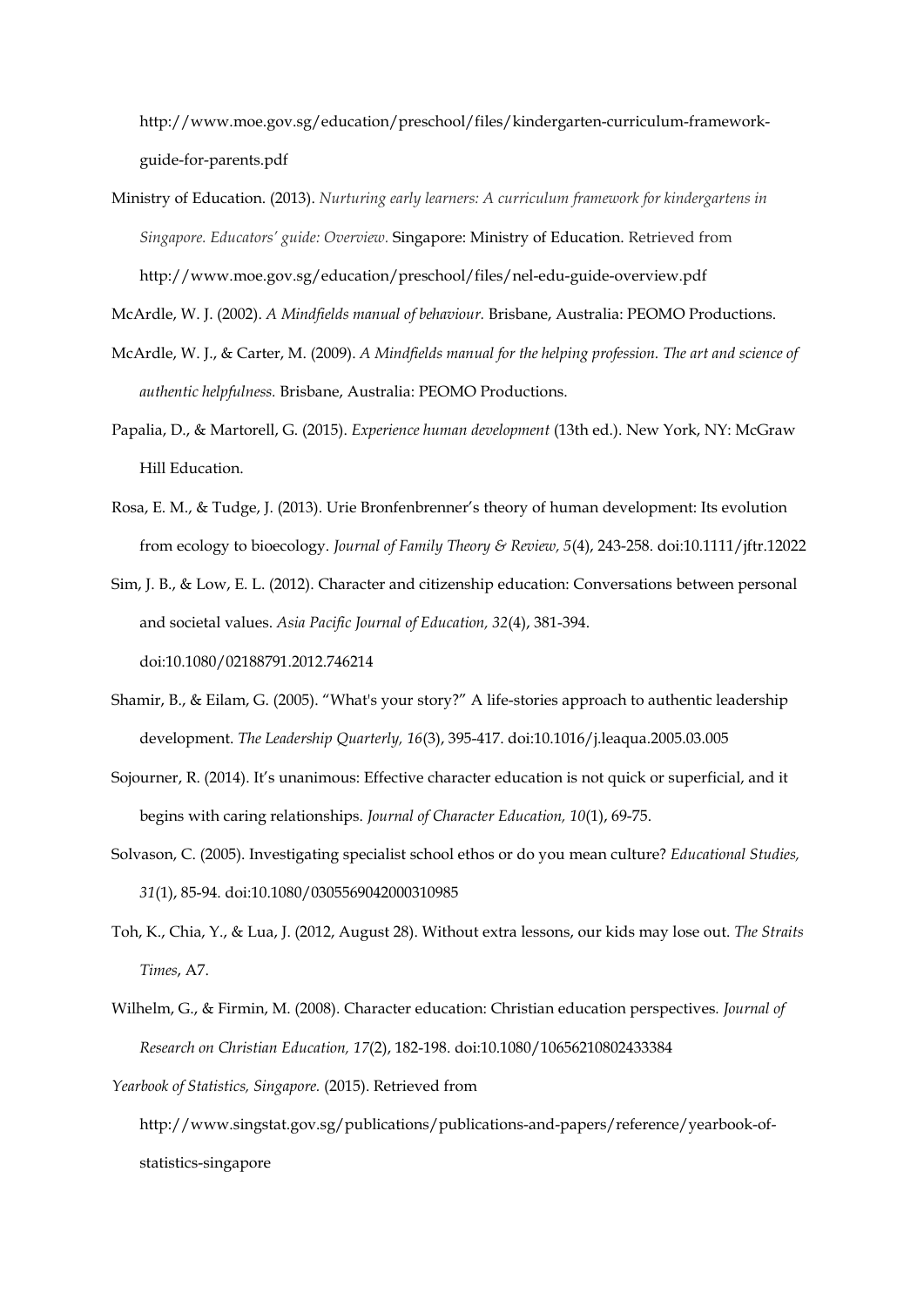http://www.moe.gov.sg/education/preschool/files/kindergarten-curriculum-frameworkguide-for-parents.pdf

Ministry of Education. (2013). *Nurturing early learners: A curriculum framework for kindergartens in Singapore. Educators' guide: Overview.* Singapore: Ministry of Education. Retrieved from http://www.moe.gov.sg/education/preschool/files/nel-edu-guide-overview.pdf

McArdle, W. J. (2002). *A Mindfields manual of behaviour.* Brisbane, Australia: PEOMO Productions.

- McArdle, W. J., & Carter, M. (2009). *A Mindfields manual for the helping profession. The art and science of authentic helpfulness.* Brisbane, Australia: PEOMO Productions.
- Papalia, D., & Martorell, G. (2015). *Experience human development* (13th ed.). New York, NY: McGraw Hill Education.
- Rosa, E. M., & Tudge, J. (2013). Urie Bronfenbrenner's theory of human development: Its evolution from ecology to bioecology. *Journal of Family Theory & Review, 5*(4), 243-258. doi:10.1111/jftr.12022

Sim, J. B., & Low, E. L. (2012). Character and citizenship education: Conversations between personal and societal values. *Asia Pacific Journal of Education, 32*(4), 381-394. doi:10.1080/02188791.2012.746214

- Shamir, B., & Eilam, G. (2005). "What's your story?" A life-stories approach to authentic leadership development. *The Leadership Quarterly, 16*(3), 395-417. doi:10.1016/j.leaqua.2005.03.005
- Sojourner, R. (2014). It's unanimous: Effective character education is not quick or superficial, and it begins with caring relationships. *Journal of Character Education, 10*(1), 69-75.
- Solvason, C. (2005). Investigating specialist school ethos or do you mean culture? *Educational Studies, 31*(1), 85-94. doi:10.1080/0305569042000310985
- Toh, K., Chia, Y., & Lua, J. (2012, August 28). Without extra lessons, our kids may lose out. *The Straits Times*, A7.
- Wilhelm, G., & Firmin, M. (2008). Character education: Christian education perspectives*. Journal of Research on Christian Education, 17*(2), 182-198. doi:10.1080/10656210802433384

*Yearbook of Statistics, Singapore.* (2015). Retrieved from

http://www.singstat.gov.sg/publications/publications-and-papers/reference/yearbook-ofstatistics-singapore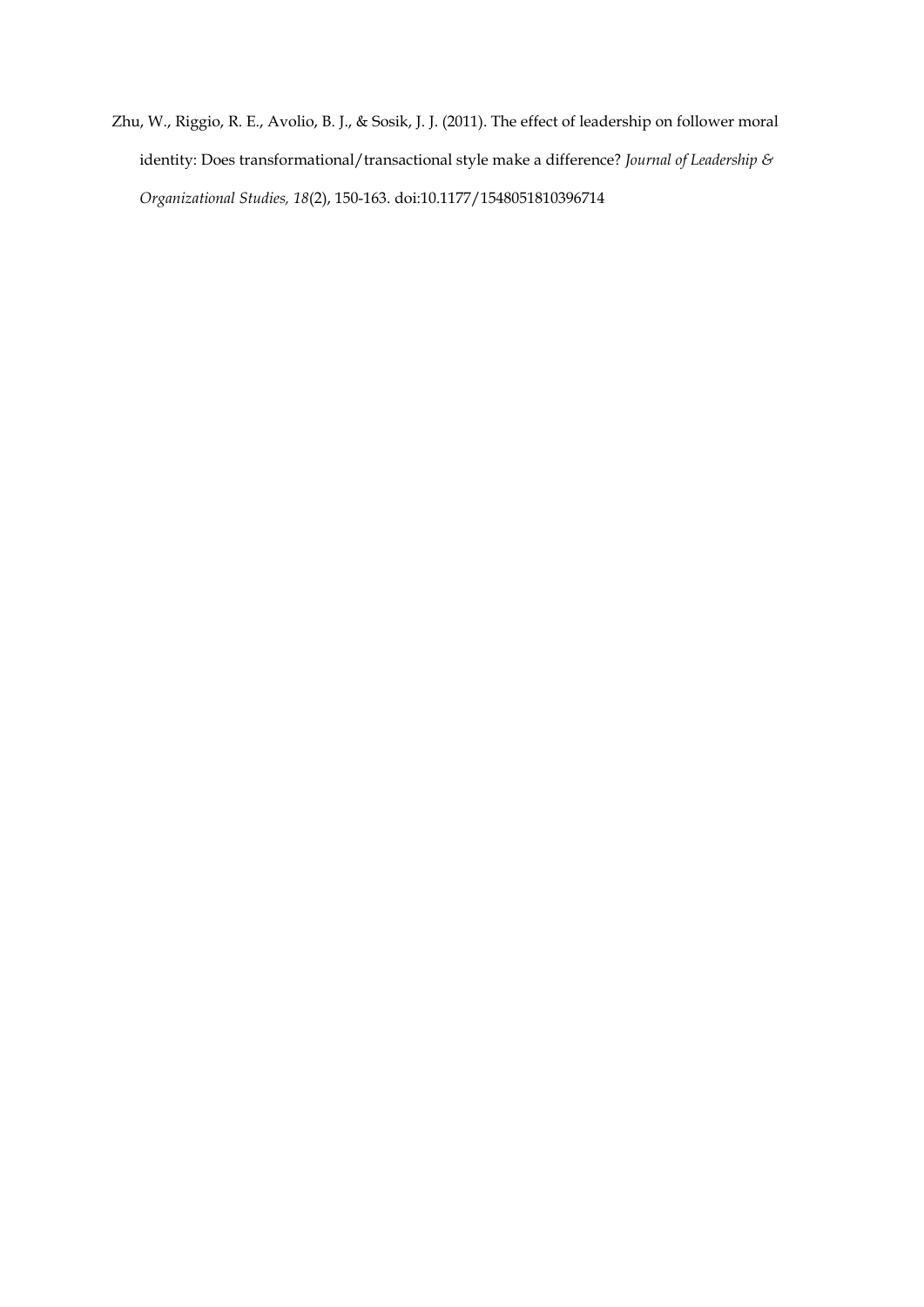Zhu, W., Riggio, R. E., Avolio, B. J., & Sosik, J. J. (2011). The effect of leadership on follower moral identity: Does transformational/transactional style make a difference? *Journal of Leadership & Organizational Studies, 18*(2), 150-163. doi:10.1177/1548051810396714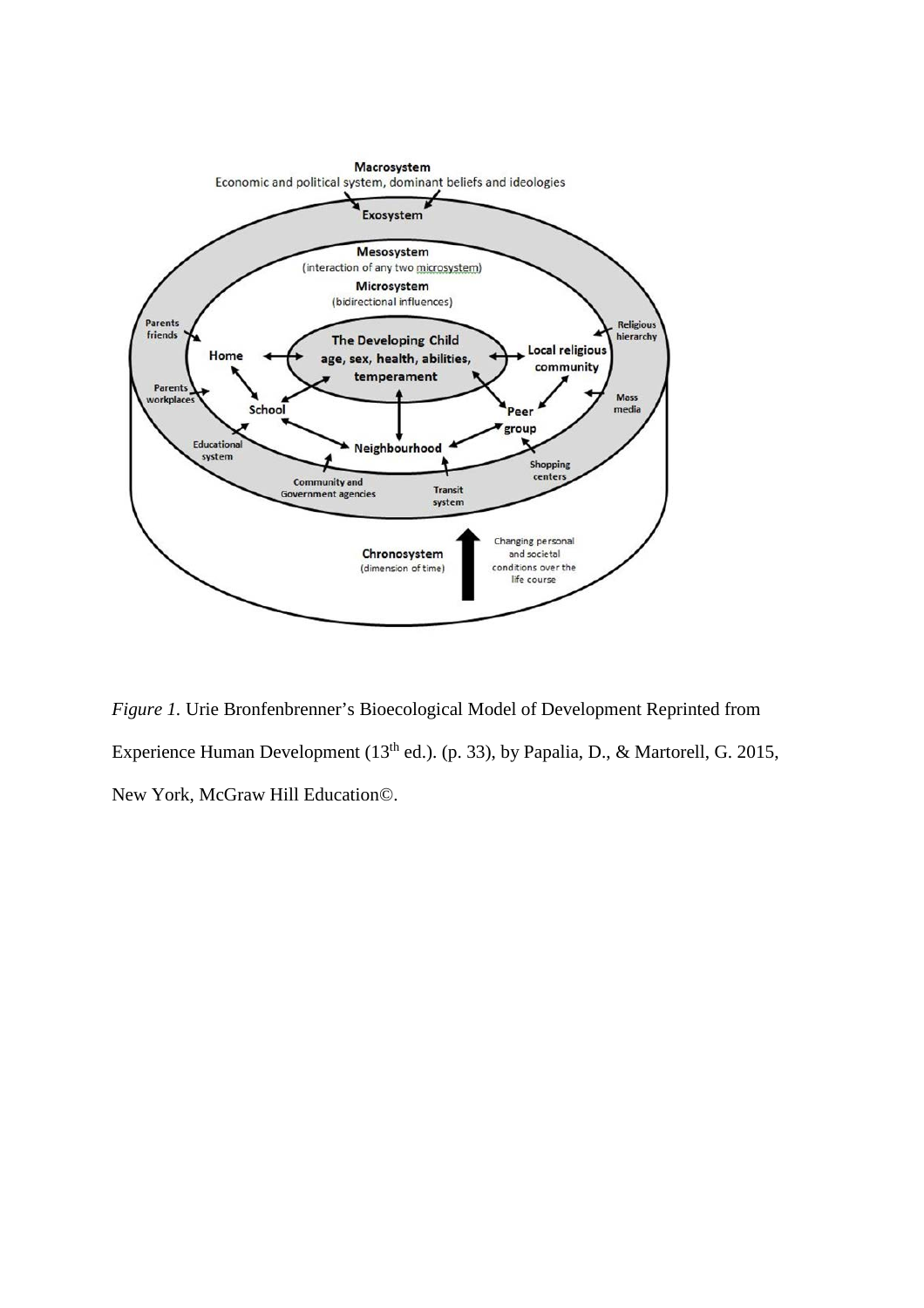

*Figure 1.* Urie Bronfenbrenner's Bioecological Model of Development Reprinted from Experience Human Development (13<sup>th</sup> ed.). (p. 33), by Papalia, D., & Martorell, G. 2015, New York, McGraw Hill Education©.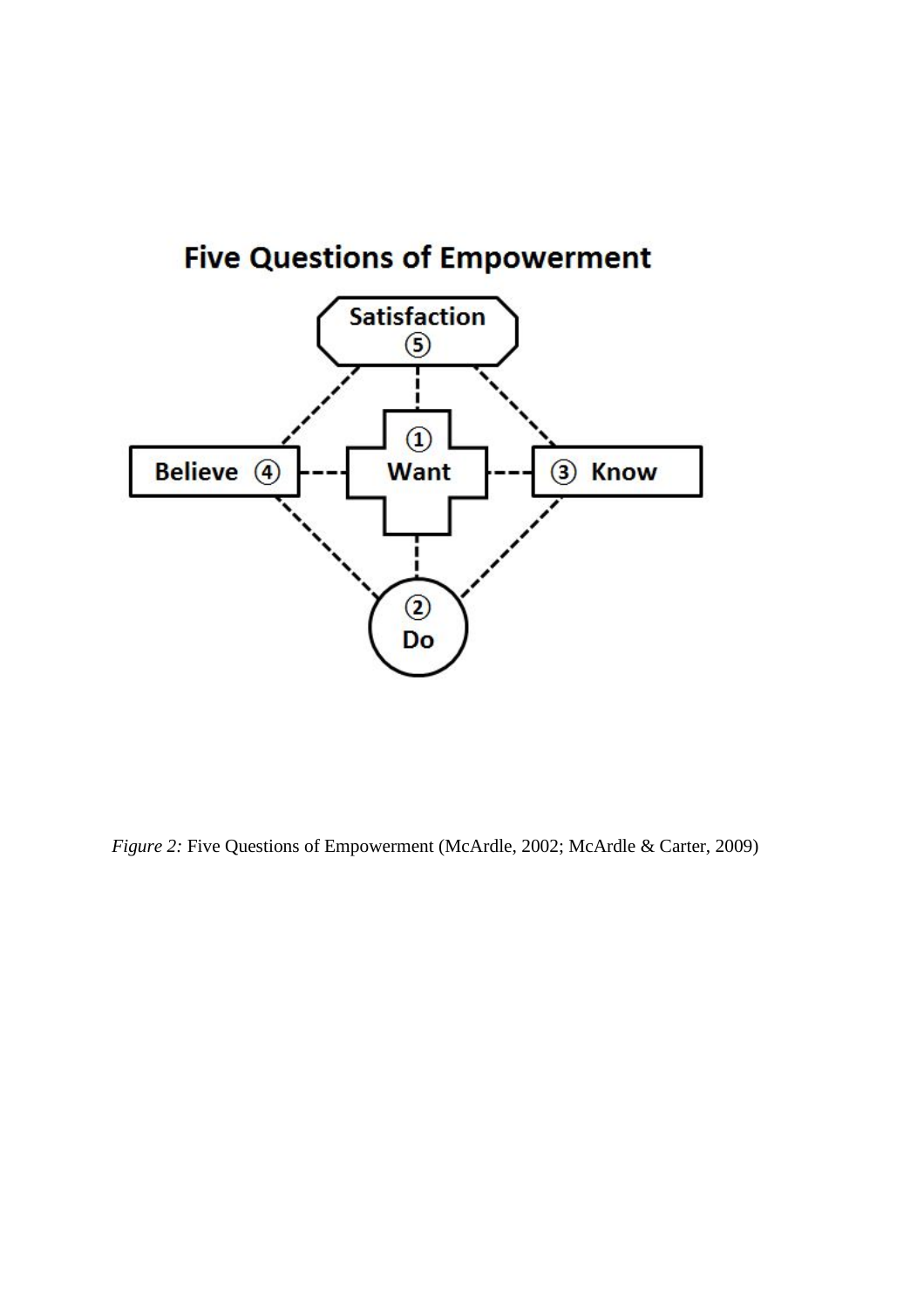

*Figure 2:* Five Questions of Empowerment (McArdle, 2002; McArdle & Carter, 2009)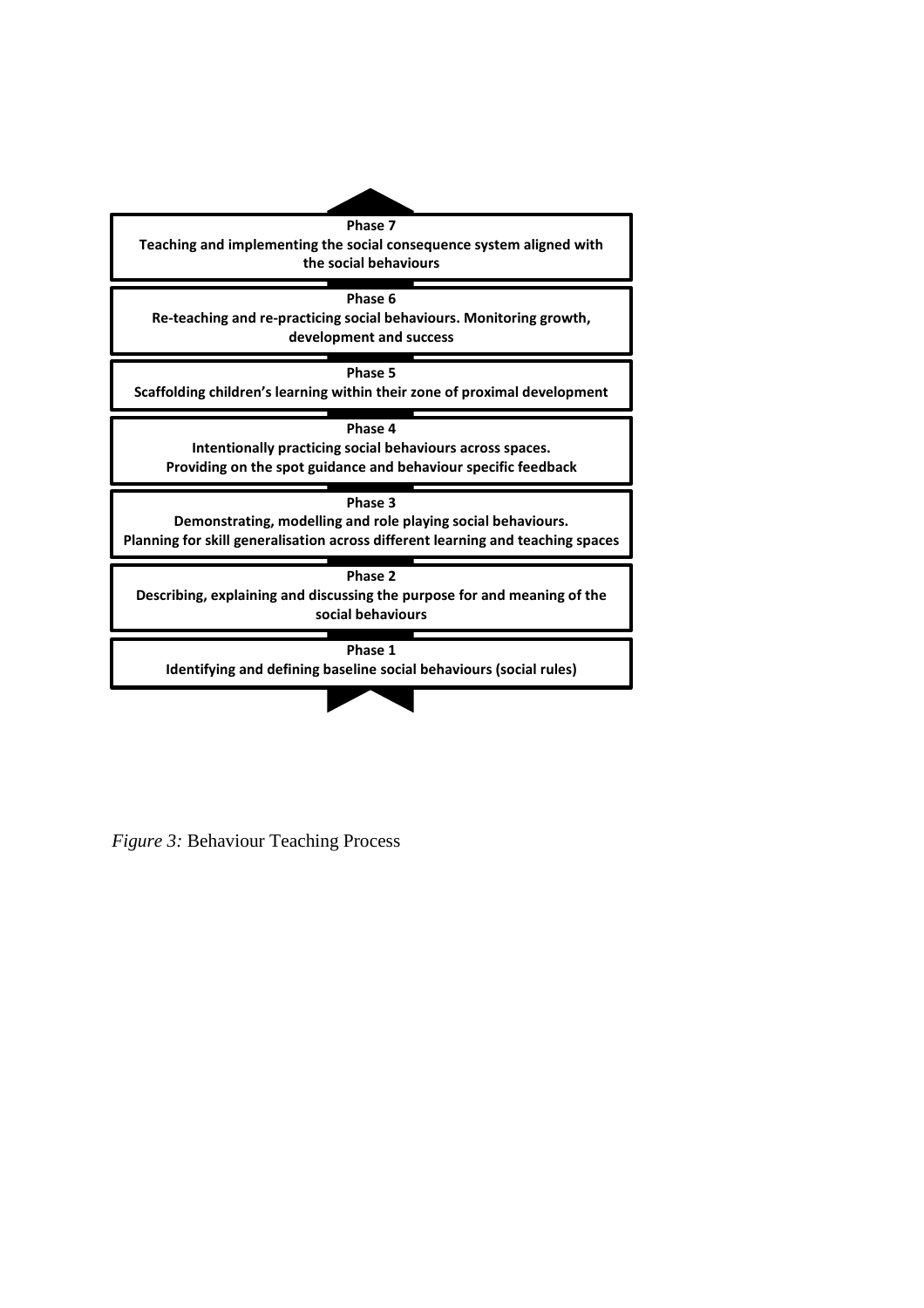

*Figure 3:* Behaviour Teaching Process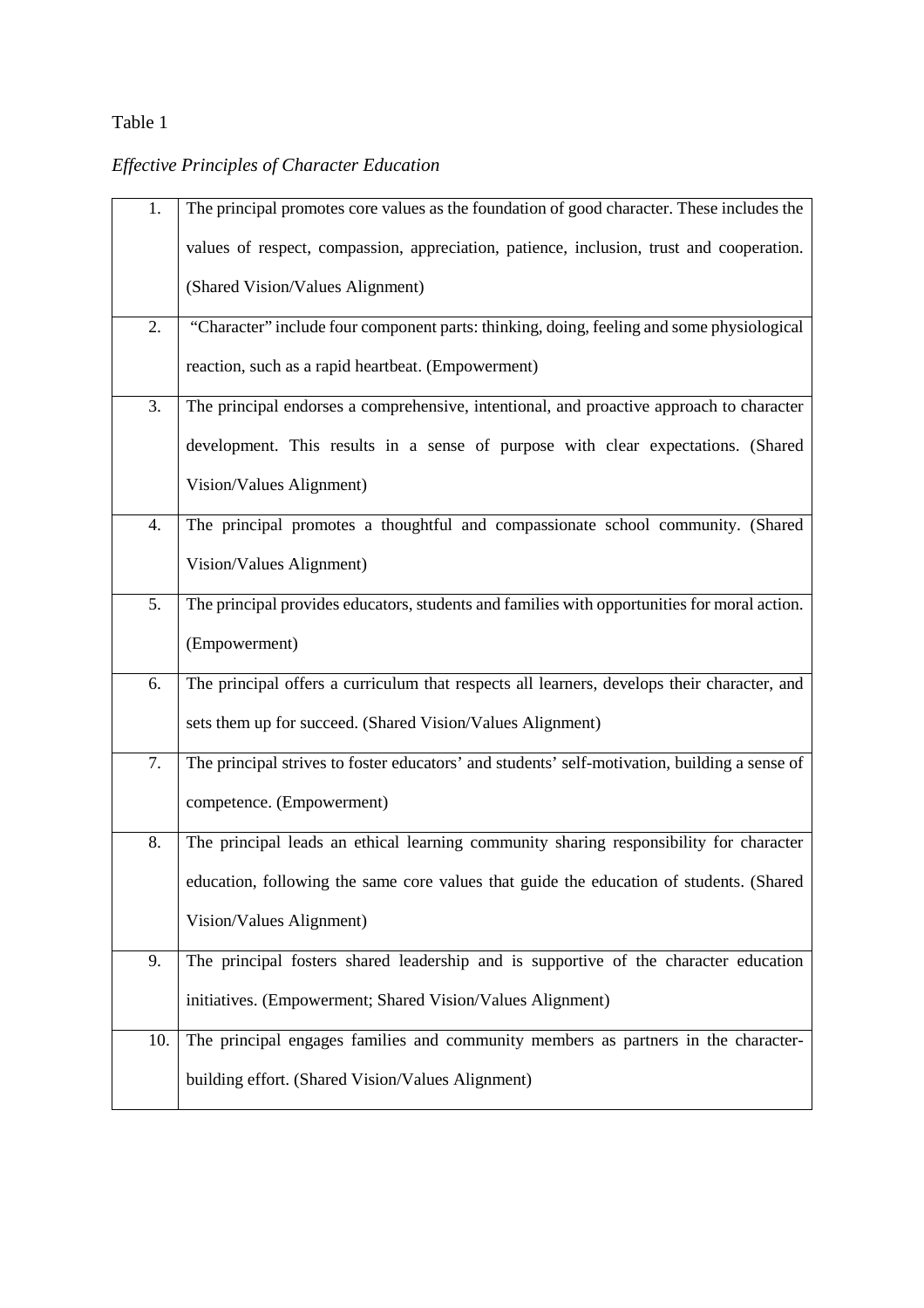# Table 1

# *Effective Principles of Character Education*

| 1.  | The principal promotes core values as the foundation of good character. These includes the    |  |
|-----|-----------------------------------------------------------------------------------------------|--|
|     | values of respect, compassion, appreciation, patience, inclusion, trust and cooperation.      |  |
|     | (Shared Vision/Values Alignment)                                                              |  |
| 2.  | "Character" include four component parts: thinking, doing, feeling and some physiological     |  |
|     | reaction, such as a rapid heartbeat. (Empowerment)                                            |  |
| 3.  | The principal endorses a comprehensive, intentional, and proactive approach to character      |  |
|     | development. This results in a sense of purpose with clear expectations. (Shared              |  |
|     | Vision/Values Alignment)                                                                      |  |
| 4.  | The principal promotes a thoughtful and compassionate school community. (Shared               |  |
|     | Vision/Values Alignment)                                                                      |  |
| 5.  | The principal provides educators, students and families with opportunities for moral action.  |  |
|     | (Empowerment)                                                                                 |  |
| 6.  | The principal offers a curriculum that respects all learners, develops their character, and   |  |
|     | sets them up for succeed. (Shared Vision/Values Alignment)                                    |  |
| 7.  | The principal strives to foster educators' and students' self-motivation, building a sense of |  |
|     | competence. (Empowerment)                                                                     |  |
| 8.  | The principal leads an ethical learning community sharing responsibility for character        |  |
|     | education, following the same core values that guide the education of students. (Shared       |  |
|     | Vision/Values Alignment)                                                                      |  |
| 9.  | The principal fosters shared leadership and is supportive of the character education          |  |
|     | initiatives. (Empowerment; Shared Vision/Values Alignment)                                    |  |
| 10. | The principal engages families and community members as partners in the character-            |  |
|     | building effort. (Shared Vision/Values Alignment)                                             |  |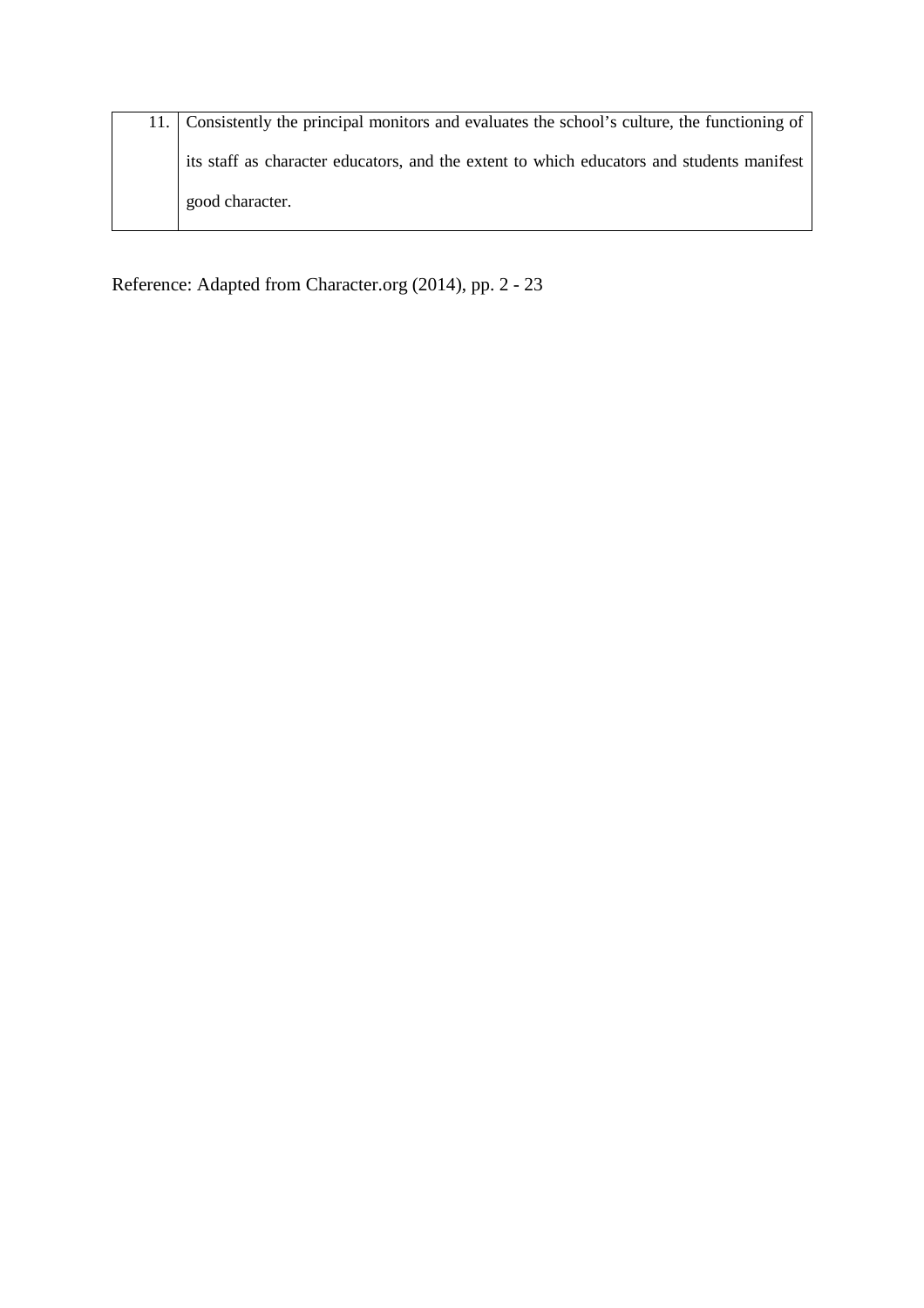| 11. Consistently the principal monitors and evaluates the school's culture, the functioning of |
|------------------------------------------------------------------------------------------------|
| its staff as character educators, and the extent to which educators and students manifest      |
| good character.                                                                                |

Reference: Adapted from Character.org (2014), pp. 2 - 23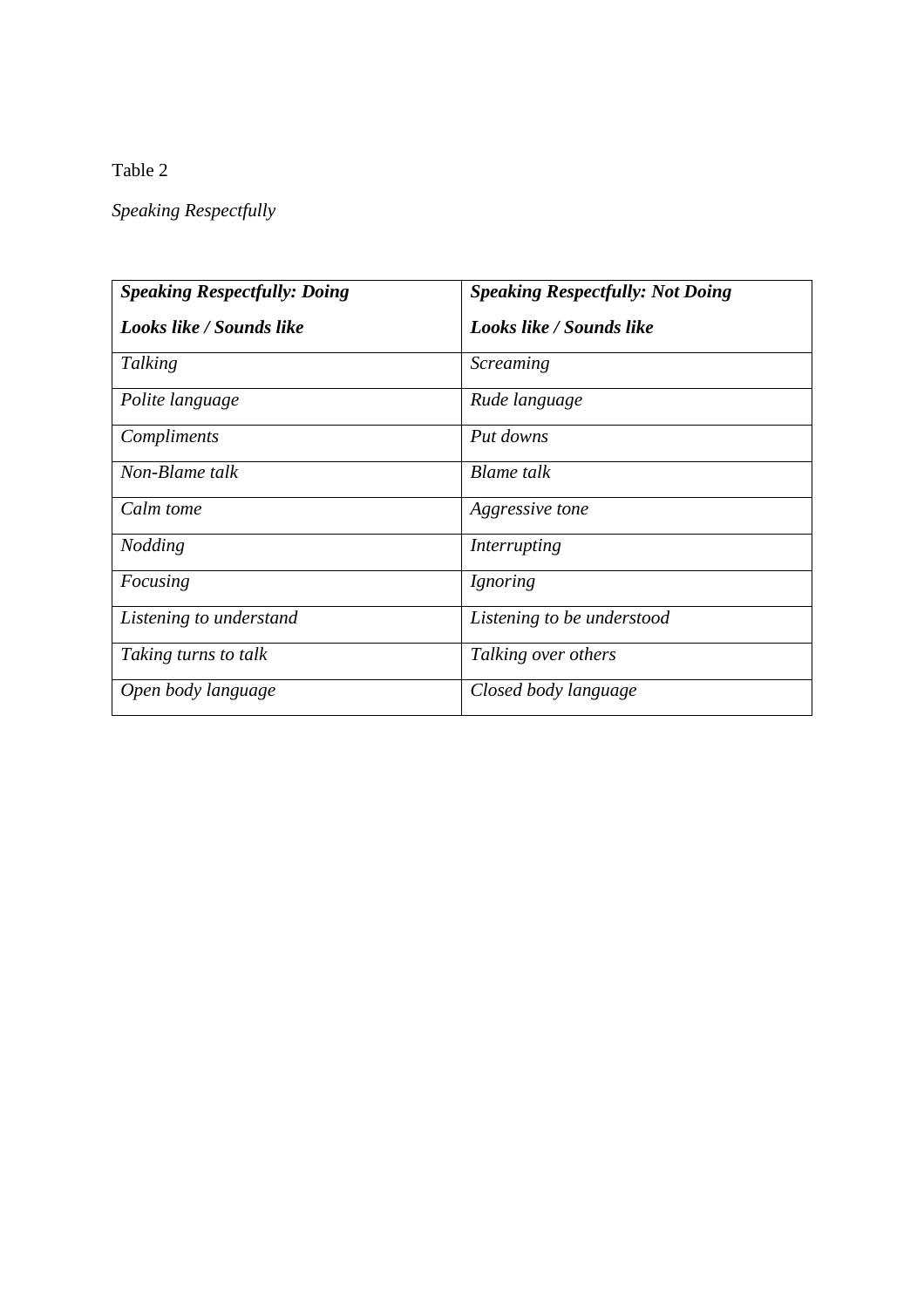Table 2

*Speaking Respectfully*

| <b>Speaking Respectfully: Doing</b> | <b>Speaking Respectfully: Not Doing</b> |  |
|-------------------------------------|-----------------------------------------|--|
| Looks like / Sounds like            | Looks like / Sounds like                |  |
| Talking                             | <b>Screaming</b>                        |  |
| Polite language                     | Rude language                           |  |
| Compliments                         | Put downs                               |  |
| Non-Blame talk                      | <b>Blame</b> talk                       |  |
| Calm tome                           | Aggressive tone                         |  |
| <i>Nodding</i>                      | Interrupting                            |  |
| Focusing                            | <i>Ignoring</i>                         |  |
| Listening to understand             | Listening to be understood              |  |
| Taking turns to talk                | Talking over others                     |  |
| Open body language                  | Closed body language                    |  |